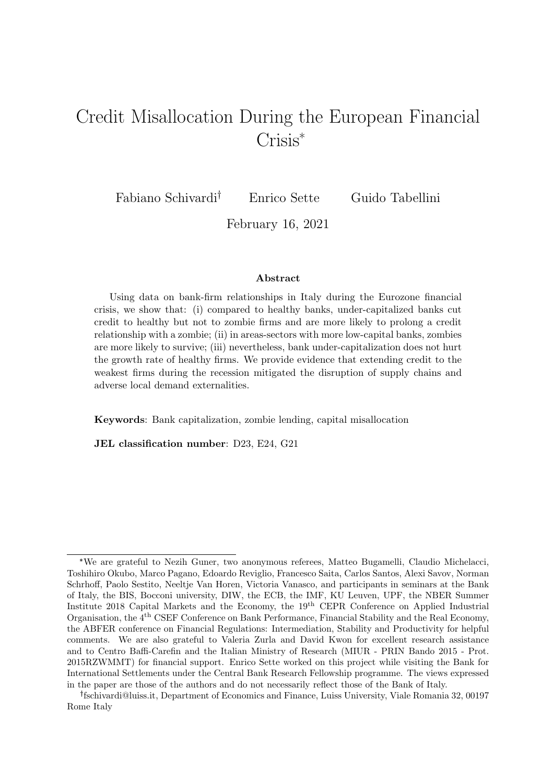# <span id="page-0-0"></span>Credit Misallocation During the European Financial Crisis\*

Fabiano Schivardi<sup>†</sup> Enrico Sette Guido Tabellini

February 16, 2021

#### Abstract

Using data on bank-firm relationships in Italy during the Eurozone financial crisis, we show that: (i) compared to healthy banks, under-capitalized banks cut credit to healthy but not to zombie firms and are more likely to prolong a credit relationship with a zombie; (ii) in areas-sectors with more low-capital banks, zombies are more likely to survive; (iii) nevertheless, bank under-capitalization does not hurt the growth rate of healthy firms. We provide evidence that extending credit to the weakest firms during the recession mitigated the disruption of supply chains and adverse local demand externalities.

Keywords: Bank capitalization, zombie lending, capital misallocation

JEL classification number: D23, E24, G21

<sup>\*</sup>We are grateful to Nezih Guner, two anonymous referees, Matteo Bugamelli, Claudio Michelacci, Toshihiro Okubo, Marco Pagano, Edoardo Reviglio, Francesco Saita, Carlos Santos, Alexi Savov, Norman Schrhoff, Paolo Sestito, Neeltje Van Horen, Victoria Vanasco, and participants in seminars at the Bank of Italy, the BIS, Bocconi university, DIW, the ECB, the IMF, KU Leuven, UPF, the NBER Summer Institute 2018 Capital Markets and the Economy, the 19th CEPR Conference on Applied Industrial Organisation, the 4th CSEF Conference on Bank Performance, Financial Stability and the Real Economy, the ABFER conference on Financial Regulations: Intermediation, Stability and Productivity for helpful comments. We are also grateful to Valeria Zurla and David Kwon for excellent research assistance and to Centro Baffi-Carefin and the Italian Ministry of Research (MIUR - PRIN Bando 2015 - Prot. 2015RZWMMT) for financial support. Enrico Sette worked on this project while visiting the Bank for International Settlements under the Central Bank Research Fellowship programme. The views expressed in the paper are those of the authors and do not necessarily reflect those of the Bank of Italy.

fschivardi@luiss.it, Department of Economics and Finance, Luiss University, Viale Romania 32, 00197 Rome Italy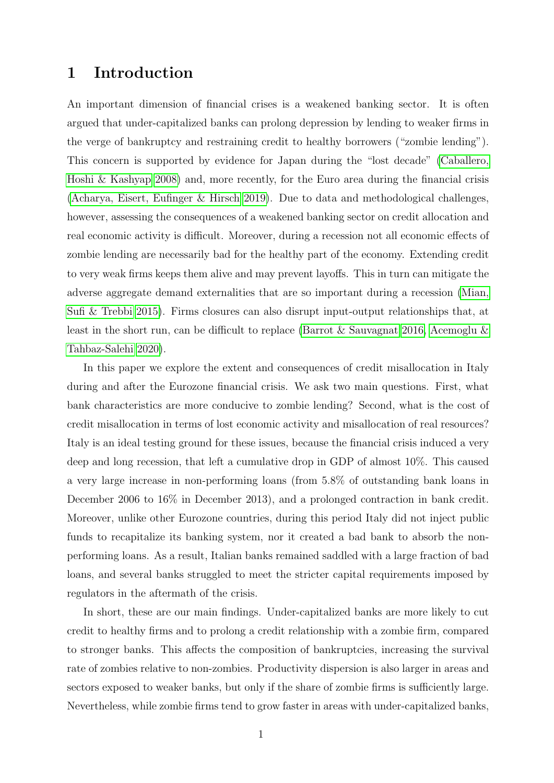# 1 Introduction

An important dimension of financial crises is a weakened banking sector. It is often argued that under-capitalized banks can prolong depression by lending to weaker firms in the verge of bankruptcy and restraining credit to healthy borrowers ("zombie lending"). This concern is supported by evidence for Japan during the "lost decade" [\(Caballero,](#page-36-0) [Hoshi & Kashyap 2008\)](#page-36-0) and, more recently, for the Euro area during the financial crisis [\(Acharya, Eisert, Eufinger & Hirsch 2019\)](#page-36-1). Due to data and methodological challenges, however, assessing the consequences of a weakened banking sector on credit allocation and real economic activity is difficult. Moreover, during a recession not all economic effects of zombie lending are necessarily bad for the healthy part of the economy. Extending credit to very weak firms keeps them alive and may prevent layoffs. This in turn can mitigate the adverse aggregate demand externalities that are so important during a recession [\(Mian,](#page-37-0) [Sufi & Trebbi 2015\)](#page-37-0). Firms closures can also disrupt input-output relationships that, at least in the short run, can be difficult to replace [\(Barrot & Sauvagnat 2016,](#page-36-2) [Acemoglu &](#page-36-3) [Tahbaz-Salehi 2020\)](#page-36-3).

In this paper we explore the extent and consequences of credit misallocation in Italy during and after the Eurozone financial crisis. We ask two main questions. First, what bank characteristics are more conducive to zombie lending? Second, what is the cost of credit misallocation in terms of lost economic activity and misallocation of real resources? Italy is an ideal testing ground for these issues, because the financial crisis induced a very deep and long recession, that left a cumulative drop in GDP of almost 10%. This caused a very large increase in non-performing loans (from 5.8% of outstanding bank loans in December 2006 to  $16\%$  in December 2013), and a prolonged contraction in bank credit. Moreover, unlike other Eurozone countries, during this period Italy did not inject public funds to recapitalize its banking system, nor it created a bad bank to absorb the nonperforming loans. As a result, Italian banks remained saddled with a large fraction of bad loans, and several banks struggled to meet the stricter capital requirements imposed by regulators in the aftermath of the crisis.

In short, these are our main findings. Under-capitalized banks are more likely to cut credit to healthy firms and to prolong a credit relationship with a zombie firm, compared to stronger banks. This affects the composition of bankruptcies, increasing the survival rate of zombies relative to non-zombies. Productivity dispersion is also larger in areas and sectors exposed to weaker banks, but only if the share of zombie firms is sufficiently large. Nevertheless, while zombie firms tend to grow faster in areas with under-capitalized banks,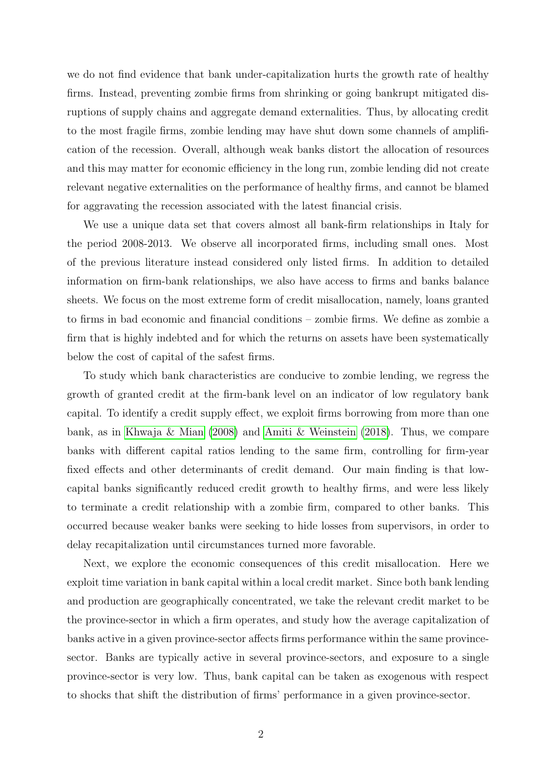we do not find evidence that bank under-capitalization hurts the growth rate of healthy firms. Instead, preventing zombie firms from shrinking or going bankrupt mitigated disruptions of supply chains and aggregate demand externalities. Thus, by allocating credit to the most fragile firms, zombie lending may have shut down some channels of amplification of the recession. Overall, although weak banks distort the allocation of resources and this may matter for economic efficiency in the long run, zombie lending did not create relevant negative externalities on the performance of healthy firms, and cannot be blamed for aggravating the recession associated with the latest financial crisis.

We use a unique data set that covers almost all bank-firm relationships in Italy for the period 2008-2013. We observe all incorporated firms, including small ones. Most of the previous literature instead considered only listed firms. In addition to detailed information on firm-bank relationships, we also have access to firms and banks balance sheets. We focus on the most extreme form of credit misallocation, namely, loans granted to firms in bad economic and financial conditions – zombie firms. We define as zombie a firm that is highly indebted and for which the returns on assets have been systematically below the cost of capital of the safest firms.

To study which bank characteristics are conducive to zombie lending, we regress the growth of granted credit at the firm-bank level on an indicator of low regulatory bank capital. To identify a credit supply effect, we exploit firms borrowing from more than one bank, as in [Khwaja & Mian](#page-37-1) [\(2008\)](#page-37-1) and [Amiti & Weinstein](#page-36-4) [\(2018\)](#page-36-4). Thus, we compare banks with different capital ratios lending to the same firm, controlling for firm-year fixed effects and other determinants of credit demand. Our main finding is that lowcapital banks significantly reduced credit growth to healthy firms, and were less likely to terminate a credit relationship with a zombie firm, compared to other banks. This occurred because weaker banks were seeking to hide losses from supervisors, in order to delay recapitalization until circumstances turned more favorable.

Next, we explore the economic consequences of this credit misallocation. Here we exploit time variation in bank capital within a local credit market. Since both bank lending and production are geographically concentrated, we take the relevant credit market to be the province-sector in which a firm operates, and study how the average capitalization of banks active in a given province-sector affects firms performance within the same provincesector. Banks are typically active in several province-sectors, and exposure to a single province-sector is very low. Thus, bank capital can be taken as exogenous with respect to shocks that shift the distribution of firms' performance in a given province-sector.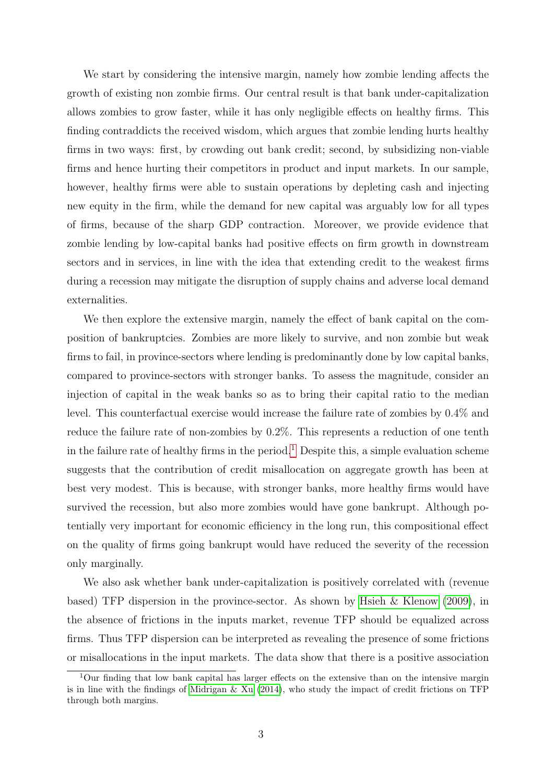We start by considering the intensive margin, namely how zombie lending affects the growth of existing non zombie firms. Our central result is that bank under-capitalization allows zombies to grow faster, while it has only negligible effects on healthy firms. This finding contraddicts the received wisdom, which argues that zombie lending hurts healthy firms in two ways: first, by crowding out bank credit; second, by subsidizing non-viable firms and hence hurting their competitors in product and input markets. In our sample, however, healthy firms were able to sustain operations by depleting cash and injecting new equity in the firm, while the demand for new capital was arguably low for all types of firms, because of the sharp GDP contraction. Moreover, we provide evidence that zombie lending by low-capital banks had positive effects on firm growth in downstream sectors and in services, in line with the idea that extending credit to the weakest firms during a recession may mitigate the disruption of supply chains and adverse local demand externalities.

We then explore the extensive margin, namely the effect of bank capital on the composition of bankruptcies. Zombies are more likely to survive, and non zombie but weak firms to fail, in province-sectors where lending is predominantly done by low capital banks, compared to province-sectors with stronger banks. To assess the magnitude, consider an injection of capital in the weak banks so as to bring their capital ratio to the median level. This counterfactual exercise would increase the failure rate of zombies by 0.4% and reduce the failure rate of non-zombies by 0.2%. This represents a reduction of one tenth in the failure rate of healthy firms in the period.<sup>[1](#page-3-0)</sup> Despite this, a simple evaluation scheme suggests that the contribution of credit misallocation on aggregate growth has been at best very modest. This is because, with stronger banks, more healthy firms would have survived the recession, but also more zombies would have gone bankrupt. Although potentially very important for economic efficiency in the long run, this compositional effect on the quality of firms going bankrupt would have reduced the severity of the recession only marginally.

We also ask whether bank under-capitalization is positively correlated with (revenue based) TFP dispersion in the province-sector. As shown by [Hsieh & Klenow](#page-37-2) [\(2009\)](#page-37-2), in the absence of frictions in the inputs market, revenue TFP should be equalized across firms. Thus TFP dispersion can be interpreted as revealing the presence of some frictions or misallocations in the input markets. The data show that there is a positive association

<span id="page-3-0"></span> $1$ Our finding that low bank capital has larger effects on the extensive than on the intensive margin is in line with the findings of Midrigan  $\&$  Xu [\(2014\)](#page-37-3), who study the impact of credit frictions on TFP through both margins.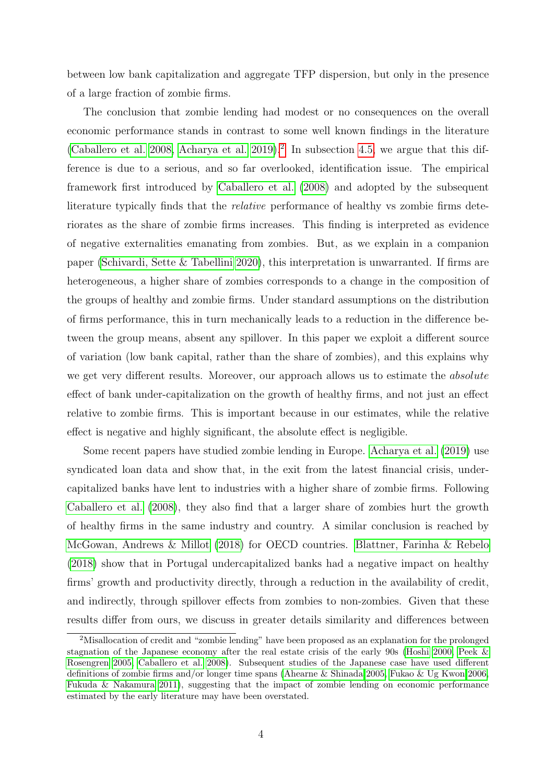between low bank capitalization and aggregate TFP dispersion, but only in the presence of a large fraction of zombie firms.

The conclusion that zombie lending had modest or no consequences on the overall economic performance stands in contrast to some well known findings in the literature [\(Caballero et al. 2008,](#page-36-0) [Acharya et al. 2019\)](#page-36-1).<sup>[2](#page-4-0)</sup> In subsection [4.5,](#page-31-0) we argue that this difference is due to a serious, and so far overlooked, identification issue. The empirical framework first introduced by [Caballero et al.](#page-36-0) [\(2008\)](#page-36-0) and adopted by the subsequent literature typically finds that the *relative* performance of healthy vs zombie firms deteriorates as the share of zombie firms increases. This finding is interpreted as evidence of negative externalities emanating from zombies. But, as we explain in a companion paper [\(Schivardi, Sette & Tabellini 2020\)](#page-38-0), this interpretation is unwarranted. If firms are heterogeneous, a higher share of zombies corresponds to a change in the composition of the groups of healthy and zombie firms. Under standard assumptions on the distribution of firms performance, this in turn mechanically leads to a reduction in the difference between the group means, absent any spillover. In this paper we exploit a different source of variation (low bank capital, rather than the share of zombies), and this explains why we get very different results. Moreover, our approach allows us to estimate the *absolute* effect of bank under-capitalization on the growth of healthy firms, and not just an effect relative to zombie firms. This is important because in our estimates, while the relative effect is negative and highly significant, the absolute effect is negligible.

Some recent papers have studied zombie lending in Europe. [Acharya et al.](#page-36-1) [\(2019\)](#page-36-1) use syndicated loan data and show that, in the exit from the latest financial crisis, undercapitalized banks have lent to industries with a higher share of zombie firms. Following [Caballero et al.](#page-36-0) [\(2008\)](#page-36-0), they also find that a larger share of zombies hurt the growth of healthy firms in the same industry and country. A similar conclusion is reached by [McGowan, Andrews & Millot](#page-37-4) [\(2018\)](#page-37-4) for OECD countries. [Blattner, Farinha & Rebelo](#page-36-5) [\(2018\)](#page-36-5) show that in Portugal undercapitalized banks had a negative impact on healthy firms' growth and productivity directly, through a reduction in the availability of credit, and indirectly, through spillover effects from zombies to non-zombies. Given that these results differ from ours, we discuss in greater details similarity and differences between

<span id="page-4-0"></span><sup>2</sup>Misallocation of credit and "zombie lending" have been proposed as an explanation for the prolonged stagnation of the Japanese economy after the real estate crisis of the early 90s [\(Hoshi 2000,](#page-37-5) [Peek &](#page-37-6) [Rosengren 2005,](#page-37-6) [Caballero et al. 2008\)](#page-36-0). Subsequent studies of the Japanese case have used different definitions of zombie firms and/or longer time spans [\(Ahearne & Shinada 2005,](#page-36-6) [Fukao & Ug Kwon 2006,](#page-36-7) [Fukuda & Nakamura 2011\)](#page-37-7), suggesting that the impact of zombie lending on economic performance estimated by the early literature may have been overstated.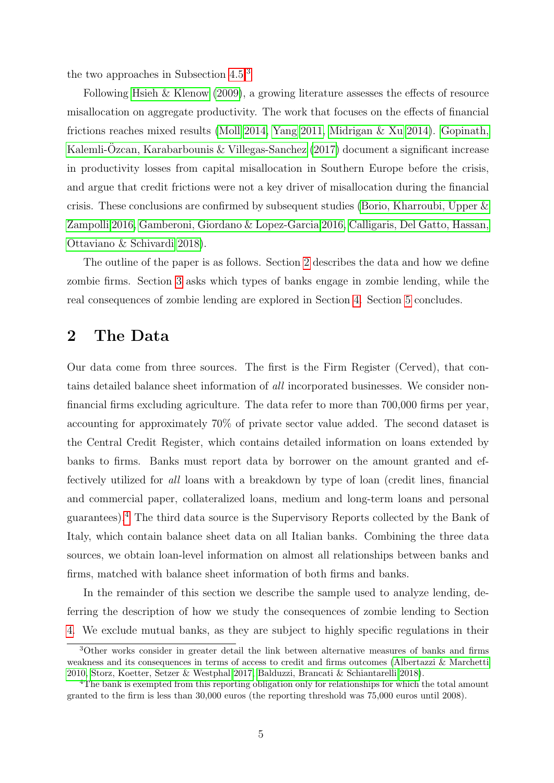the two approaches in Subsection [4.5.](#page-31-0)[3](#page-5-0)

Following [Hsieh & Klenow](#page-37-2) [\(2009\)](#page-37-2), a growing literature assesses the effects of resource misallocation on aggregate productivity. The work that focuses on the effects of financial frictions reaches mixed results [\(Moll 2014,](#page-37-8) [Yang 2011,](#page-38-1) [Midrigan & Xu 2014\)](#page-37-3). [Gopinath,](#page-37-9) Kalemli-Özcan, Karabarbounis & Villegas-Sanchez  $(2017)$  document a significant increase in productivity losses from capital misallocation in Southern Europe before the crisis, and argue that credit frictions were not a key driver of misallocation during the financial crisis. These conclusions are confirmed by subsequent studies [\(Borio, Kharroubi, Upper &](#page-36-8) [Zampolli 2016,](#page-36-8) [Gamberoni, Giordano & Lopez-Garcia 2016,](#page-37-10) [Calligaris, Del Gatto, Hassan,](#page-36-9) [Ottaviano & Schivardi 2018\)](#page-36-9).

The outline of the paper is as follows. Section [2](#page-5-1) describes the data and how we define zombie firms. Section [3](#page-9-0) asks which types of banks engage in zombie lending, while the real consequences of zombie lending are explored in Section [4.](#page-18-0) Section [5](#page-34-0) concludes.

### <span id="page-5-1"></span>2 The Data

Our data come from three sources. The first is the Firm Register (Cerved), that contains detailed balance sheet information of all incorporated businesses. We consider nonfinancial firms excluding agriculture. The data refer to more than 700,000 firms per year, accounting for approximately 70% of private sector value added. The second dataset is the Central Credit Register, which contains detailed information on loans extended by banks to firms. Banks must report data by borrower on the amount granted and effectively utilized for all loans with a breakdown by type of loan (credit lines, financial and commercial paper, collateralized loans, medium and long-term loans and personal guarantees).[4](#page-5-2) The third data source is the Supervisory Reports collected by the Bank of Italy, which contain balance sheet data on all Italian banks. Combining the three data sources, we obtain loan-level information on almost all relationships between banks and firms, matched with balance sheet information of both firms and banks.

In the remainder of this section we describe the sample used to analyze lending, deferring the description of how we study the consequences of zombie lending to Section [4.](#page-18-0) We exclude mutual banks, as they are subject to highly specific regulations in their

<span id="page-5-0"></span><sup>3</sup>Other works consider in greater detail the link between alternative measures of banks and firms weakness and its consequences in terms of access to credit and firms outcomes [\(Albertazzi & Marchetti](#page-36-10) [2010,](#page-36-10) [Storz, Koetter, Setzer & Westphal 2017,](#page-38-2) [Balduzzi, Brancati & Schiantarelli 2018\)](#page-36-11).

<span id="page-5-2"></span><sup>4</sup>The bank is exempted from this reporting obligation only for relationships for which the total amount granted to the firm is less than 30,000 euros (the reporting threshold was 75,000 euros until 2008).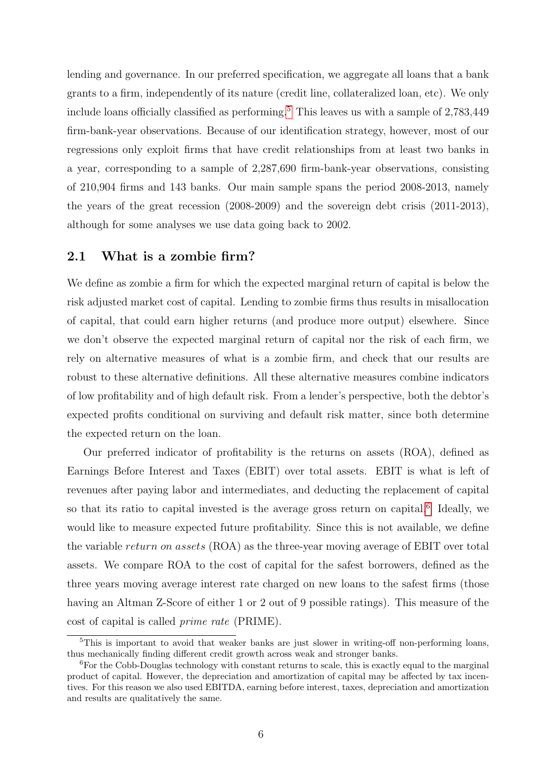lending and governance. In our preferred specification, we aggregate all loans that a bank grants to a firm, independently of its nature (credit line, collateralized loan, etc). We only include loans officially classified as performing.<sup>[5](#page-6-0)</sup> This leaves us with a sample of  $2,783,449$ firm-bank-year observations. Because of our identification strategy, however, most of our regressions only exploit firms that have credit relationships from at least two banks in a year, corresponding to a sample of 2,287,690 firm-bank-year observations, consisting of 210,904 firms and 143 banks. Our main sample spans the period 2008-2013, namely the years of the great recession (2008-2009) and the sovereign debt crisis (2011-2013), although for some analyses we use data going back to 2002.

### 2.1 What is a zombie firm?

We define as zombie a firm for which the expected marginal return of capital is below the risk adjusted market cost of capital. Lending to zombie firms thus results in misallocation of capital, that could earn higher returns (and produce more output) elsewhere. Since we don't observe the expected marginal return of capital nor the risk of each firm, we rely on alternative measures of what is a zombie firm, and check that our results are robust to these alternative definitions. All these alternative measures combine indicators of low profitability and of high default risk. From a lender's perspective, both the debtor's expected profits conditional on surviving and default risk matter, since both determine the expected return on the loan.

Our preferred indicator of profitability is the returns on assets (ROA), defined as Earnings Before Interest and Taxes (EBIT) over total assets. EBIT is what is left of revenues after paying labor and intermediates, and deducting the replacement of capital so that its ratio to capital invested is the average gross return on capital.<sup>[6](#page-6-1)</sup> Ideally, we would like to measure expected future profitability. Since this is not available, we define the variable return on assets (ROA) as the three-year moving average of EBIT over total assets. We compare ROA to the cost of capital for the safest borrowers, defined as the three years moving average interest rate charged on new loans to the safest firms (those having an Altman Z-Score of either 1 or 2 out of 9 possible ratings). This measure of the cost of capital is called prime rate (PRIME).

<span id="page-6-0"></span><sup>&</sup>lt;sup>5</sup>This is important to avoid that weaker banks are just slower in writing-off non-performing loans, thus mechanically finding different credit growth across weak and stronger banks.

<span id="page-6-1"></span> ${}^{6}$ For the Cobb-Douglas technology with constant returns to scale, this is exactly equal to the marginal product of capital. However, the depreciation and amortization of capital may be affected by tax incentives. For this reason we also used EBITDA, earning before interest, taxes, depreciation and amortization and results are qualitatively the same.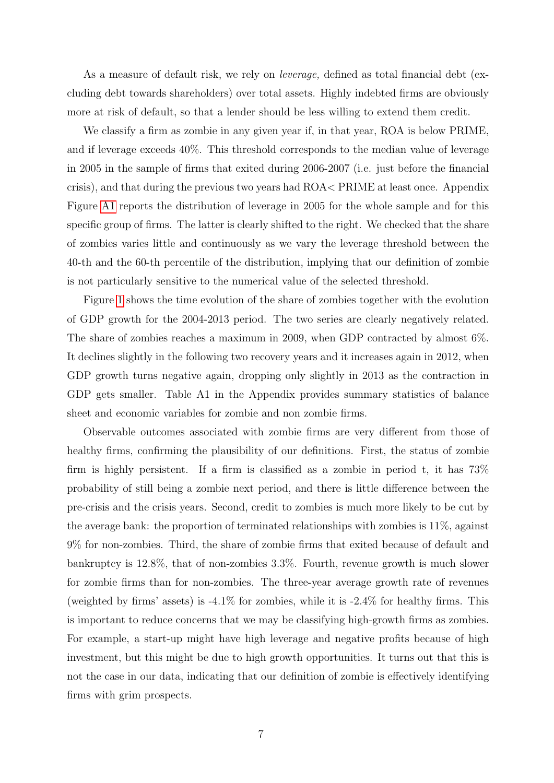As a measure of default risk, we rely on *leverage*, defined as total financial debt (excluding debt towards shareholders) over total assets. Highly indebted firms are obviously more at risk of default, so that a lender should be less willing to extend them credit.

We classify a firm as zombie in any given year if, in that year, ROA is below PRIME, and if leverage exceeds 40%. This threshold corresponds to the median value of leverage in 2005 in the sample of firms that exited during 2006-2007 (i.e. just before the financial crisis), and that during the previous two years had ROA< PRIME at least once. Appendix Figure [A1](#page-39-0) reports the distribution of leverage in 2005 for the whole sample and for this specific group of firms. The latter is clearly shifted to the right. We checked that the share of zombies varies little and continuously as we vary the leverage threshold between the 40-th and the 60-th percentile of the distribution, implying that our definition of zombie is not particularly sensitive to the numerical value of the selected threshold.

Figure [1](#page-39-0) shows the time evolution of the share of zombies together with the evolution of GDP growth for the 2004-2013 period. The two series are clearly negatively related. The share of zombies reaches a maximum in 2009, when GDP contracted by almost 6%. It declines slightly in the following two recovery years and it increases again in 2012, when GDP growth turns negative again, dropping only slightly in 2013 as the contraction in GDP gets smaller. Table A1 in the Appendix provides summary statistics of balance sheet and economic variables for zombie and non zombie firms.

Observable outcomes associated with zombie firms are very different from those of healthy firms, confirming the plausibility of our definitions. First, the status of zombie firm is highly persistent. If a firm is classified as a zombie in period t, it has 73% probability of still being a zombie next period, and there is little difference between the pre-crisis and the crisis years. Second, credit to zombies is much more likely to be cut by the average bank: the proportion of terminated relationships with zombies is  $11\%$ , against 9% for non-zombies. Third, the share of zombie firms that exited because of default and bankruptcy is 12.8%, that of non-zombies 3.3%. Fourth, revenue growth is much slower for zombie firms than for non-zombies. The three-year average growth rate of revenues (weighted by firms' assets) is  $-4.1\%$  for zombies, while it is  $-2.4\%$  for healthy firms. This is important to reduce concerns that we may be classifying high-growth firms as zombies. For example, a start-up might have high leverage and negative profits because of high investment, but this might be due to high growth opportunities. It turns out that this is not the case in our data, indicating that our definition of zombie is effectively identifying firms with grim prospects.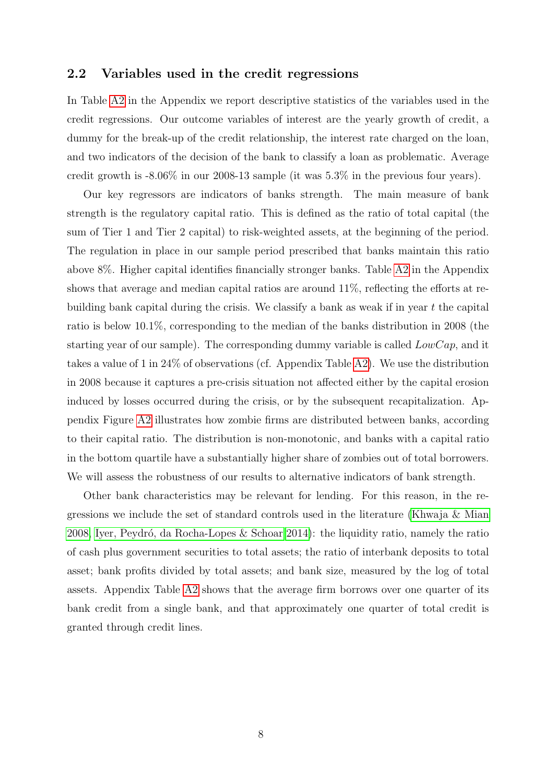### 2.2 Variables used in the credit regressions

In Table [A2](#page-41-0) in the Appendix we report descriptive statistics of the variables used in the credit regressions. Our outcome variables of interest are the yearly growth of credit, a dummy for the break-up of the credit relationship, the interest rate charged on the loan, and two indicators of the decision of the bank to classify a loan as problematic. Average credit growth is -8.06% in our 2008-13 sample (it was 5.3% in the previous four years).

Our key regressors are indicators of banks strength. The main measure of bank strength is the regulatory capital ratio. This is defined as the ratio of total capital (the sum of Tier 1 and Tier 2 capital) to risk-weighted assets, at the beginning of the period. The regulation in place in our sample period prescribed that banks maintain this ratio above 8%. Higher capital identifies financially stronger banks. Table [A2](#page-41-0) in the Appendix shows that average and median capital ratios are around 11%, reflecting the efforts at rebuilding bank capital during the crisis. We classify a bank as weak if in year  $t$  the capital ratio is below 10.1%, corresponding to the median of the banks distribution in 2008 (the starting year of our sample). The corresponding dummy variable is called  $LowCap$ , and it takes a value of 1 in 24% of observations (cf. Appendix Table [A2\)](#page-41-0). We use the distribution in 2008 because it captures a pre-crisis situation not affected either by the capital erosion induced by losses occurred during the crisis, or by the subsequent recapitalization. Appendix Figure [A2](#page-39-1) illustrates how zombie firms are distributed between banks, according to their capital ratio. The distribution is non-monotonic, and banks with a capital ratio in the bottom quartile have a substantially higher share of zombies out of total borrowers. We will assess the robustness of our results to alternative indicators of bank strength.

Other bank characteristics may be relevant for lending. For this reason, in the regressions we include the set of standard controls used in the literature [\(Khwaja & Mian](#page-37-1) [2008,](#page-37-1) Iyer, Peydró, da Rocha-Lopes & Schoar 2014): the liquidity ratio, namely the ratio of cash plus government securities to total assets; the ratio of interbank deposits to total asset; bank profits divided by total assets; and bank size, measured by the log of total assets. Appendix Table [A2](#page-41-0) shows that the average firm borrows over one quarter of its bank credit from a single bank, and that approximately one quarter of total credit is granted through credit lines.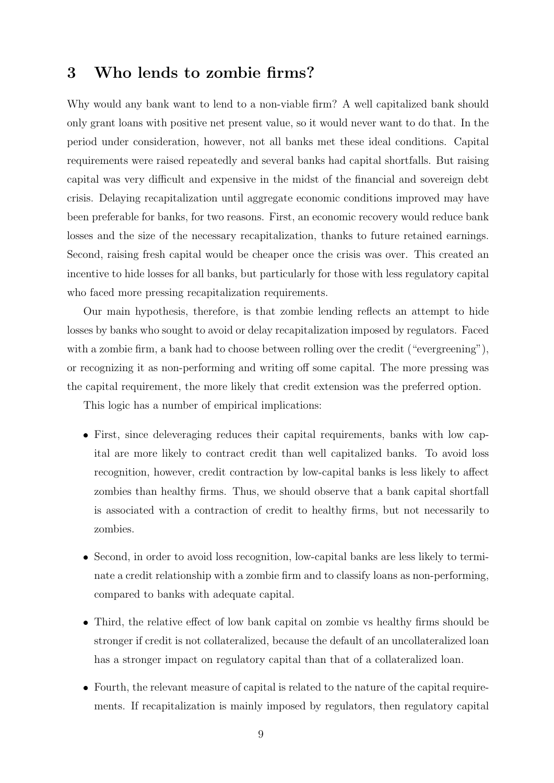# <span id="page-9-0"></span>3 Who lends to zombie firms?

Why would any bank want to lend to a non-viable firm? A well capitalized bank should only grant loans with positive net present value, so it would never want to do that. In the period under consideration, however, not all banks met these ideal conditions. Capital requirements were raised repeatedly and several banks had capital shortfalls. But raising capital was very difficult and expensive in the midst of the financial and sovereign debt crisis. Delaying recapitalization until aggregate economic conditions improved may have been preferable for banks, for two reasons. First, an economic recovery would reduce bank losses and the size of the necessary recapitalization, thanks to future retained earnings. Second, raising fresh capital would be cheaper once the crisis was over. This created an incentive to hide losses for all banks, but particularly for those with less regulatory capital who faced more pressing recapitalization requirements.

Our main hypothesis, therefore, is that zombie lending reflects an attempt to hide losses by banks who sought to avoid or delay recapitalization imposed by regulators. Faced with a zombie firm, a bank had to choose between rolling over the credit ("evergreening"), or recognizing it as non-performing and writing off some capital. The more pressing was the capital requirement, the more likely that credit extension was the preferred option.

This logic has a number of empirical implications:

- First, since deleveraging reduces their capital requirements, banks with low capital are more likely to contract credit than well capitalized banks. To avoid loss recognition, however, credit contraction by low-capital banks is less likely to affect zombies than healthy firms. Thus, we should observe that a bank capital shortfall is associated with a contraction of credit to healthy firms, but not necessarily to zombies.
- Second, in order to avoid loss recognition, low-capital banks are less likely to terminate a credit relationship with a zombie firm and to classify loans as non-performing, compared to banks with adequate capital.
- Third, the relative effect of low bank capital on zombie vs healthy firms should be stronger if credit is not collateralized, because the default of an uncollateralized loan has a stronger impact on regulatory capital than that of a collateralized loan.
- Fourth, the relevant measure of capital is related to the nature of the capital requirements. If recapitalization is mainly imposed by regulators, then regulatory capital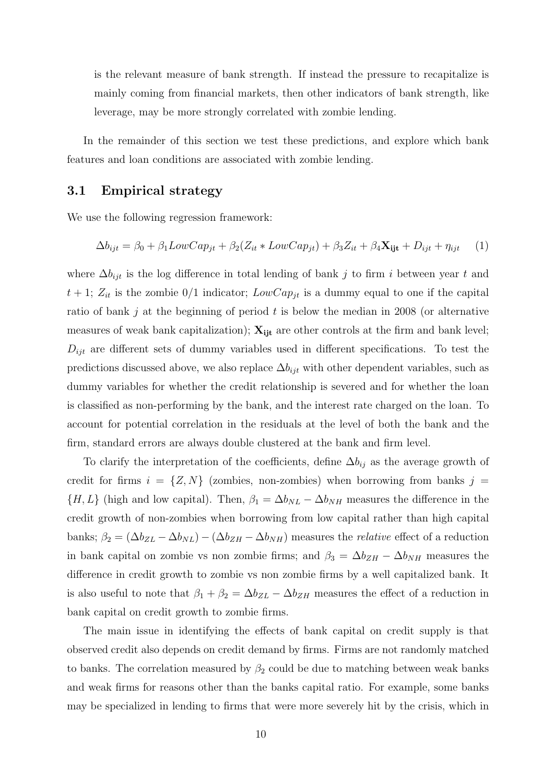is the relevant measure of bank strength. If instead the pressure to recapitalize is mainly coming from financial markets, then other indicators of bank strength, like leverage, may be more strongly correlated with zombie lending.

In the remainder of this section we test these predictions, and explore which bank features and loan conditions are associated with zombie lending.

### 3.1 Empirical strategy

We use the following regression framework:

<span id="page-10-0"></span>
$$
\Delta b_{ijt} = \beta_0 + \beta_1 LowCap_{jt} + \beta_2 (Z_{it} * LowCap_{jt}) + \beta_3 Z_{it} + \beta_4 \mathbf{X_{ijt}} + D_{ijt} + \eta_{ijt} \tag{1}
$$

where  $\Delta b_{ijt}$  is the log difference in total lending of bank j to firm i between year t and  $t + 1$ ;  $Z_{it}$  is the zombie  $0/1$  indicator;  $LowCap_{jt}$  is a dummy equal to one if the capital ratio of bank j at the beginning of period  $t$  is below the median in 2008 (or alternative measures of weak bank capitalization);  $X_{i}$  are other controls at the firm and bank level;  $D_{ijt}$  are different sets of dummy variables used in different specifications. To test the predictions discussed above, we also replace  $\Delta b_{ijt}$  with other dependent variables, such as dummy variables for whether the credit relationship is severed and for whether the loan is classified as non-performing by the bank, and the interest rate charged on the loan. To account for potential correlation in the residuals at the level of both the bank and the firm, standard errors are always double clustered at the bank and firm level.

To clarify the interpretation of the coefficients, define  $\Delta b_{ij}$  as the average growth of credit for firms  $i = \{Z, N\}$  (zombies, non-zombies) when borrowing from banks  $j =$  $\{H, L\}$  (high and low capital). Then,  $\beta_1 = \Delta b_{NL} - \Delta b_{NH}$  measures the difference in the credit growth of non-zombies when borrowing from low capital rather than high capital banks;  $\beta_2 = (\Delta b_{ZL} - \Delta b_{NL}) - (\Delta b_{ZH} - \Delta b_{NH})$  measures the *relative* effect of a reduction in bank capital on zombie vs non zombie firms; and  $\beta_3 = \Delta b_{ZH} - \Delta b_{NH}$  measures the difference in credit growth to zombie vs non zombie firms by a well capitalized bank. It is also useful to note that  $\beta_1 + \beta_2 = \Delta b_{ZL} - \Delta b_{ZH}$  measures the effect of a reduction in bank capital on credit growth to zombie firms.

The main issue in identifying the effects of bank capital on credit supply is that observed credit also depends on credit demand by firms. Firms are not randomly matched to banks. The correlation measured by  $\beta_2$  could be due to matching between weak banks and weak firms for reasons other than the banks capital ratio. For example, some banks may be specialized in lending to firms that were more severely hit by the crisis, which in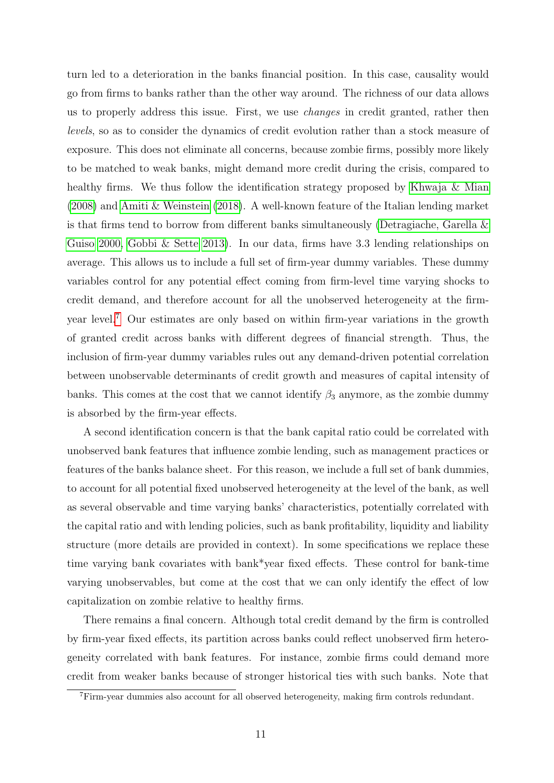turn led to a deterioration in the banks financial position. In this case, causality would go from firms to banks rather than the other way around. The richness of our data allows us to properly address this issue. First, we use changes in credit granted, rather then levels, so as to consider the dynamics of credit evolution rather than a stock measure of exposure. This does not eliminate all concerns, because zombie firms, possibly more likely to be matched to weak banks, might demand more credit during the crisis, compared to healthy firms. We thus follow the identification strategy proposed by [Khwaja & Mian](#page-37-1) [\(2008\)](#page-37-1) and [Amiti & Weinstein](#page-36-4) [\(2018\)](#page-36-4). A well-known feature of the Italian lending market is that firms tend to borrow from different banks simultaneously [\(Detragiache, Garella &](#page-36-12) [Guiso 2000,](#page-36-12) [Gobbi & Sette 2013\)](#page-37-12). In our data, firms have 3.3 lending relationships on average. This allows us to include a full set of firm-year dummy variables. These dummy variables control for any potential effect coming from firm-level time varying shocks to credit demand, and therefore account for all the unobserved heterogeneity at the firmyear level.[7](#page-11-0) Our estimates are only based on within firm-year variations in the growth of granted credit across banks with different degrees of financial strength. Thus, the inclusion of firm-year dummy variables rules out any demand-driven potential correlation between unobservable determinants of credit growth and measures of capital intensity of banks. This comes at the cost that we cannot identify  $\beta_3$  anymore, as the zombie dummy is absorbed by the firm-year effects.

A second identification concern is that the bank capital ratio could be correlated with unobserved bank features that influence zombie lending, such as management practices or features of the banks balance sheet. For this reason, we include a full set of bank dummies, to account for all potential fixed unobserved heterogeneity at the level of the bank, as well as several observable and time varying banks' characteristics, potentially correlated with the capital ratio and with lending policies, such as bank profitability, liquidity and liability structure (more details are provided in context). In some specifications we replace these time varying bank covariates with bank\*year fixed effects. These control for bank-time varying unobservables, but come at the cost that we can only identify the effect of low capitalization on zombie relative to healthy firms.

There remains a final concern. Although total credit demand by the firm is controlled by firm-year fixed effects, its partition across banks could reflect unobserved firm heterogeneity correlated with bank features. For instance, zombie firms could demand more credit from weaker banks because of stronger historical ties with such banks. Note that

<span id="page-11-0"></span><sup>7</sup>Firm-year dummies also account for all observed heterogeneity, making firm controls redundant.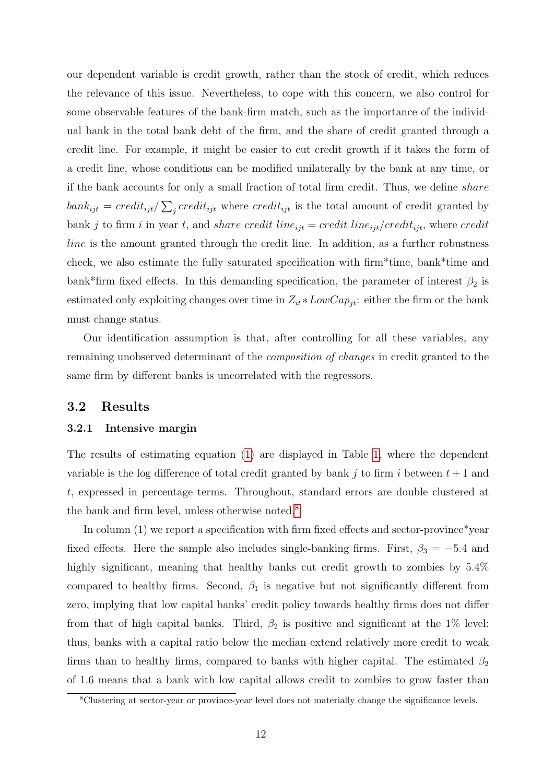our dependent variable is credit growth, rather than the stock of credit, which reduces the relevance of this issue. Nevertheless, to cope with this concern, we also control for some observable features of the bank-firm match, such as the importance of the individual bank in the total bank debt of the firm, and the share of credit granted through a credit line. For example, it might be easier to cut credit growth if it takes the form of a credit line, whose conditions can be modified unilaterally by the bank at any time, or if the bank accounts for only a small fraction of total firm credit. Thus, we define share  $bank_{ijt} = credit_{ijt}/\sum_{j} credit_{ijt}$  where  $credit_{ijt}$  is the total amount of credit granted by bank j to firm i in year t, and share credit line<sub>ijt</sub> = credit line<sub>ijt</sub>/credit<sub>ijt</sub>, where credit line is the amount granted through the credit line. In addition, as a further robustness check, we also estimate the fully saturated specification with firm\*time, bank\*time and bank\*firm fixed effects. In this demanding specification, the parameter of interest  $\beta_2$  is estimated only exploiting changes over time in  $Z_{it} * LowCap_{jt}:$  either the firm or the bank must change status.

Our identification assumption is that, after controlling for all these variables, any remaining unobserved determinant of the composition of changes in credit granted to the same firm by different banks is uncorrelated with the regressors.

### 3.2 Results

#### 3.2.1 Intensive margin

The results of estimating equation [\(1\)](#page-10-0) are displayed in Table [1,](#page-40-0) where the dependent variable is the log difference of total credit granted by bank j to firm i between  $t + 1$  and t, expressed in percentage terms. Throughout, standard errors are double clustered at the bank and firm level, unless otherwise noted.<sup>[8](#page-12-0)</sup>

In column (1) we report a specification with firm fixed effects and sector-province\*year fixed effects. Here the sample also includes single-banking firms. First,  $\beta_3 = -5.4$  and highly significant, meaning that healthy banks cut credit growth to zombies by  $5.4\%$ compared to healthy firms. Second,  $\beta_1$  is negative but not significantly different from zero, implying that low capital banks' credit policy towards healthy firms does not differ from that of high capital banks. Third,  $\beta_2$  is positive and significant at the 1% level: thus, banks with a capital ratio below the median extend relatively more credit to weak firms than to healthy firms, compared to banks with higher capital. The estimated  $\beta_2$ of 1.6 means that a bank with low capital allows credit to zombies to grow faster than

<span id="page-12-0"></span><sup>8</sup>Clustering at sector-year or province-year level does not materially change the significance levels.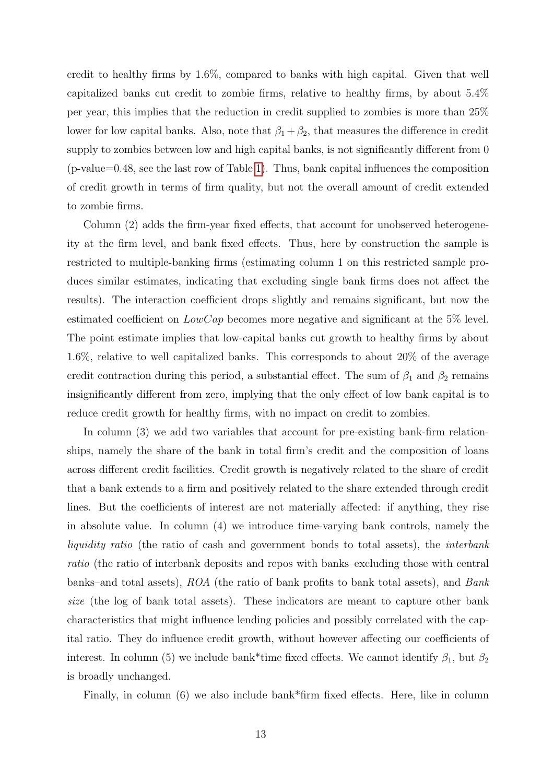credit to healthy firms by 1.6%, compared to banks with high capital. Given that well capitalized banks cut credit to zombie firms, relative to healthy firms, by about 5.4% per year, this implies that the reduction in credit supplied to zombies is more than 25% lower for low capital banks. Also, note that  $\beta_1 + \beta_2$ , that measures the difference in credit supply to zombies between low and high capital banks, is not significantly different from 0 (p-value=0.48, see the last row of Table [1\)](#page-40-0). Thus, bank capital influences the composition of credit growth in terms of firm quality, but not the overall amount of credit extended to zombie firms.

Column (2) adds the firm-year fixed effects, that account for unobserved heterogeneity at the firm level, and bank fixed effects. Thus, here by construction the sample is restricted to multiple-banking firms (estimating column 1 on this restricted sample produces similar estimates, indicating that excluding single bank firms does not affect the results). The interaction coefficient drops slightly and remains significant, but now the estimated coefficient on  $LowCap$  becomes more negative and significant at the 5% level. The point estimate implies that low-capital banks cut growth to healthy firms by about 1.6%, relative to well capitalized banks. This corresponds to about 20% of the average credit contraction during this period, a substantial effect. The sum of  $\beta_1$  and  $\beta_2$  remains insignificantly different from zero, implying that the only effect of low bank capital is to reduce credit growth for healthy firms, with no impact on credit to zombies.

In column (3) we add two variables that account for pre-existing bank-firm relationships, namely the share of the bank in total firm's credit and the composition of loans across different credit facilities. Credit growth is negatively related to the share of credit that a bank extends to a firm and positively related to the share extended through credit lines. But the coefficients of interest are not materially affected: if anything, they rise in absolute value. In column (4) we introduce time-varying bank controls, namely the liquidity ratio (the ratio of cash and government bonds to total assets), the *interbank* ratio (the ratio of interbank deposits and repos with banks–excluding those with central banks–and total assets), ROA (the ratio of bank profits to bank total assets), and Bank size (the log of bank total assets). These indicators are meant to capture other bank characteristics that might influence lending policies and possibly correlated with the capital ratio. They do influence credit growth, without however affecting our coefficients of interest. In column (5) we include bank\*time fixed effects. We cannot identify  $\beta_1$ , but  $\beta_2$ is broadly unchanged.

Finally, in column (6) we also include bank\*firm fixed effects. Here, like in column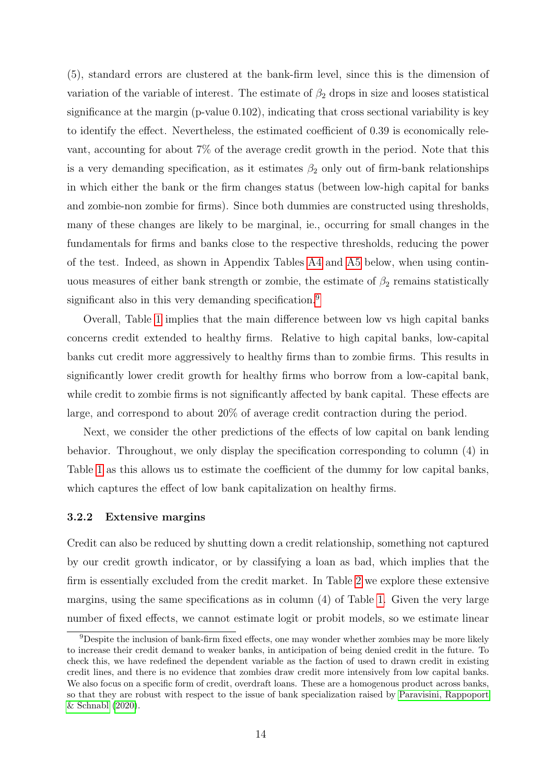(5), standard errors are clustered at the bank-firm level, since this is the dimension of variation of the variable of interest. The estimate of  $\beta_2$  drops in size and looses statistical significance at the margin (p-value 0.102), indicating that cross sectional variability is key to identify the effect. Nevertheless, the estimated coefficient of 0.39 is economically relevant, accounting for about 7% of the average credit growth in the period. Note that this is a very demanding specification, as it estimates  $\beta_2$  only out of firm-bank relationships in which either the bank or the firm changes status (between low-high capital for banks and zombie-non zombie for firms). Since both dummies are constructed using thresholds, many of these changes are likely to be marginal, ie., occurring for small changes in the fundamentals for firms and banks close to the respective thresholds, reducing the power of the test. Indeed, as shown in Appendix Tables [A4](#page-43-0) and [A5](#page-44-0) below, when using continuous measures of either bank strength or zombie, the estimate of  $\beta_2$  remains statistically significant also in this very demanding specification.<sup>[9](#page-14-0)</sup>

Overall, Table [1](#page-40-0) implies that the main difference between low vs high capital banks concerns credit extended to healthy firms. Relative to high capital banks, low-capital banks cut credit more aggressively to healthy firms than to zombie firms. This results in significantly lower credit growth for healthy firms who borrow from a low-capital bank, while credit to zombie firms is not significantly affected by bank capital. These effects are large, and correspond to about 20% of average credit contraction during the period.

Next, we consider the other predictions of the effects of low capital on bank lending behavior. Throughout, we only display the specification corresponding to column (4) in Table [1](#page-40-0) as this allows us to estimate the coefficient of the dummy for low capital banks, which captures the effect of low bank capitalization on healthy firms.

#### 3.2.2 Extensive margins

Credit can also be reduced by shutting down a credit relationship, something not captured by our credit growth indicator, or by classifying a loan as bad, which implies that the firm is essentially excluded from the credit market. In Table [2](#page-41-0) we explore these extensive margins, using the same specifications as in column (4) of Table [1.](#page-40-0) Given the very large number of fixed effects, we cannot estimate logit or probit models, so we estimate linear

<span id="page-14-0"></span><sup>&</sup>lt;sup>9</sup>Despite the inclusion of bank-firm fixed effects, one may wonder whether zombies may be more likely to increase their credit demand to weaker banks, in anticipation of being denied credit in the future. To check this, we have redefined the dependent variable as the faction of used to drawn credit in existing credit lines, and there is no evidence that zombies draw credit more intensively from low capital banks. We also focus on a specific form of credit, overdraft loans. These are a homogenous product across banks, so that they are robust with respect to the issue of bank specialization raised by [Paravisini, Rappoport](#page-37-13) [& Schnabl](#page-37-13) [\(2020\)](#page-37-13).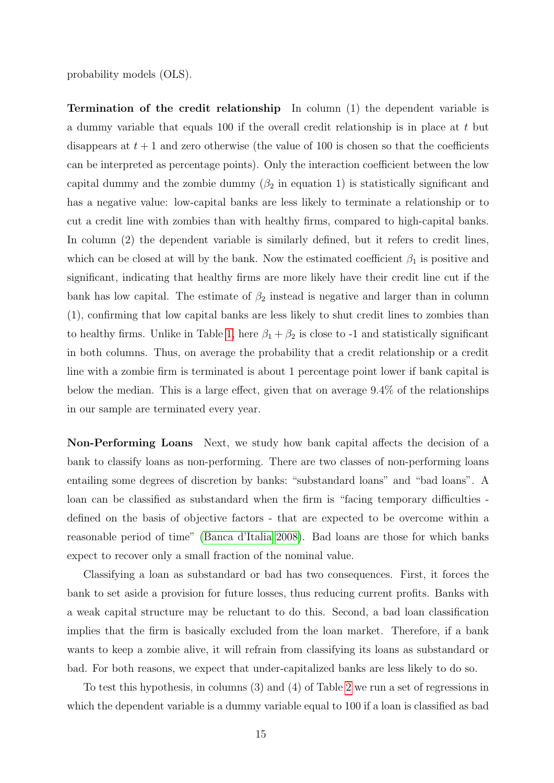probability models (OLS).

Termination of the credit relationship In column (1) the dependent variable is a dummy variable that equals 100 if the overall credit relationship is in place at  $t$  but disappears at  $t + 1$  and zero otherwise (the value of 100 is chosen so that the coefficients can be interpreted as percentage points). Only the interaction coefficient between the low capital dummy and the zombie dummy  $(\beta_2$  in equation 1) is statistically significant and has a negative value: low-capital banks are less likely to terminate a relationship or to cut a credit line with zombies than with healthy firms, compared to high-capital banks. In column (2) the dependent variable is similarly defined, but it refers to credit lines, which can be closed at will by the bank. Now the estimated coefficient  $\beta_1$  is positive and significant, indicating that healthy firms are more likely have their credit line cut if the bank has low capital. The estimate of  $\beta_2$  instead is negative and larger than in column (1), confirming that low capital banks are less likely to shut credit lines to zombies than to healthy firms. Unlike in Table [1,](#page-40-0) here  $\beta_1 + \beta_2$  is close to -1 and statistically significant in both columns. Thus, on average the probability that a credit relationship or a credit line with a zombie firm is terminated is about 1 percentage point lower if bank capital is below the median. This is a large effect, given that on average 9.4% of the relationships in our sample are terminated every year.

Non-Performing Loans Next, we study how bank capital affects the decision of a bank to classify loans as non-performing. There are two classes of non-performing loans entailing some degrees of discretion by banks: "substandard loans" and "bad loans". A loan can be classified as substandard when the firm is "facing temporary difficulties defined on the basis of objective factors - that are expected to be overcome within a reasonable period of time" [\(Banca d'Italia 2008\)](#page-36-13). Bad loans are those for which banks expect to recover only a small fraction of the nominal value.

Classifying a loan as substandard or bad has two consequences. First, it forces the bank to set aside a provision for future losses, thus reducing current profits. Banks with a weak capital structure may be reluctant to do this. Second, a bad loan classification implies that the firm is basically excluded from the loan market. Therefore, if a bank wants to keep a zombie alive, it will refrain from classifying its loans as substandard or bad. For both reasons, we expect that under-capitalized banks are less likely to do so.

To test this hypothesis, in columns (3) and (4) of Table [2](#page-41-0) we run a set of regressions in which the dependent variable is a dummy variable equal to 100 if a loan is classified as bad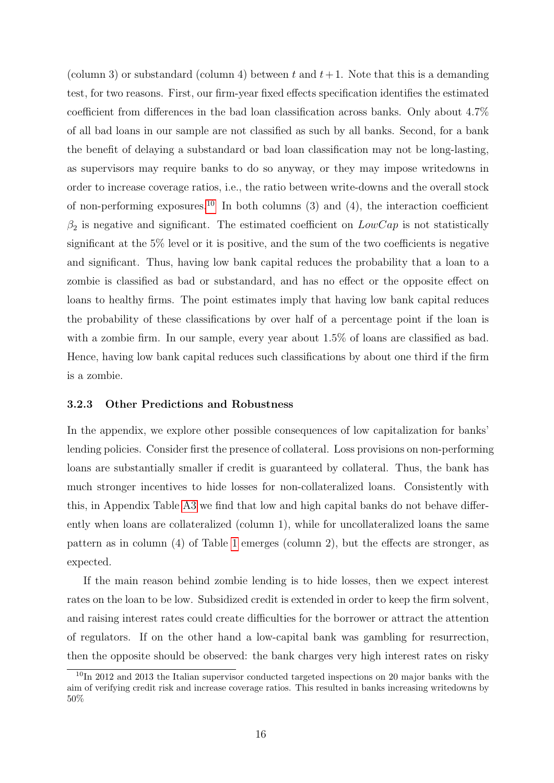(column 3) or substandard (column 4) between t and  $t+1$ . Note that this is a demanding test, for two reasons. First, our firm-year fixed effects specification identifies the estimated coefficient from differences in the bad loan classification across banks. Only about 4.7% of all bad loans in our sample are not classified as such by all banks. Second, for a bank the benefit of delaying a substandard or bad loan classification may not be long-lasting, as supervisors may require banks to do so anyway, or they may impose writedowns in order to increase coverage ratios, i.e., the ratio between write-downs and the overall stock of non-performing exposures.<sup>[10](#page-16-0)</sup> In both columns  $(3)$  and  $(4)$ , the interaction coefficient  $\beta_2$  is negative and significant. The estimated coefficient on  $LowCap$  is not statistically significant at the 5% level or it is positive, and the sum of the two coefficients is negative and significant. Thus, having low bank capital reduces the probability that a loan to a zombie is classified as bad or substandard, and has no effect or the opposite effect on loans to healthy firms. The point estimates imply that having low bank capital reduces the probability of these classifications by over half of a percentage point if the loan is with a zombie firm. In our sample, every year about  $1.5\%$  of loans are classified as bad. Hence, having low bank capital reduces such classifications by about one third if the firm is a zombie.

#### 3.2.3 Other Predictions and Robustness

In the appendix, we explore other possible consequences of low capitalization for banks' lending policies. Consider first the presence of collateral. Loss provisions on non-performing loans are substantially smaller if credit is guaranteed by collateral. Thus, the bank has much stronger incentives to hide losses for non-collateralized loans. Consistently with this, in Appendix Table [A3](#page-42-0) we find that low and high capital banks do not behave differently when loans are collateralized (column 1), while for uncollateralized loans the same pattern as in column (4) of Table [1](#page-40-0) emerges (column 2), but the effects are stronger, as expected.

If the main reason behind zombie lending is to hide losses, then we expect interest rates on the loan to be low. Subsidized credit is extended in order to keep the firm solvent, and raising interest rates could create difficulties for the borrower or attract the attention of regulators. If on the other hand a low-capital bank was gambling for resurrection, then the opposite should be observed: the bank charges very high interest rates on risky

<span id="page-16-0"></span> $10$ In 2012 and 2013 the Italian supervisor conducted targeted inspections on 20 major banks with the aim of verifying credit risk and increase coverage ratios. This resulted in banks increasing writedowns by 50%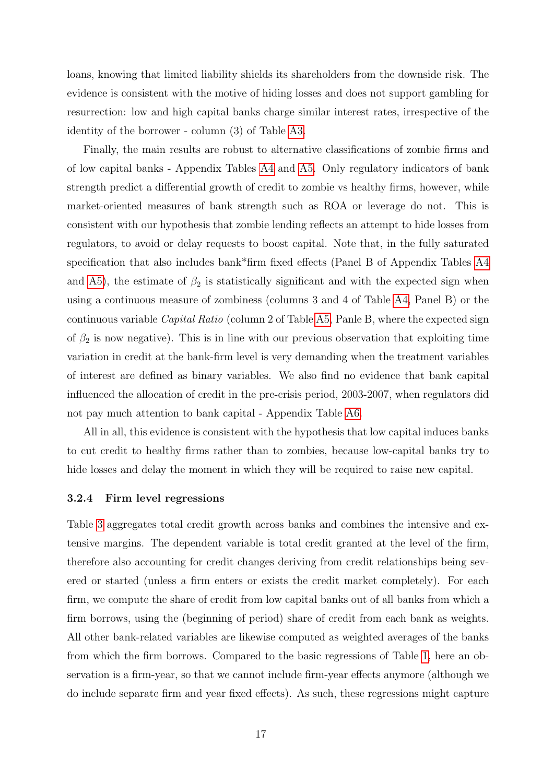loans, knowing that limited liability shields its shareholders from the downside risk. The evidence is consistent with the motive of hiding losses and does not support gambling for resurrection: low and high capital banks charge similar interest rates, irrespective of the identity of the borrower - column (3) of Table [A3.](#page-42-0)

Finally, the main results are robust to alternative classifications of zombie firms and of low capital banks - Appendix Tables [A4](#page-43-0) and [A5.](#page-44-0) Only regulatory indicators of bank strength predict a differential growth of credit to zombie vs healthy firms, however, while market-oriented measures of bank strength such as ROA or leverage do not. This is consistent with our hypothesis that zombie lending reflects an attempt to hide losses from regulators, to avoid or delay requests to boost capital. Note that, in the fully saturated specification that also includes bank\*firm fixed effects (Panel B of Appendix Tables [A4](#page-43-0) and [A5\)](#page-44-0), the estimate of  $\beta_2$  is statistically significant and with the expected sign when using a continuous measure of zombiness (columns 3 and 4 of Table [A4,](#page-43-0) Panel B) or the continuous variable Capital Ratio (column 2 of Table [A5,](#page-44-0) Panle B, where the expected sign of  $\beta_2$  is now negative). This is in line with our previous observation that exploiting time variation in credit at the bank-firm level is very demanding when the treatment variables of interest are defined as binary variables. We also find no evidence that bank capital influenced the allocation of credit in the pre-crisis period, 2003-2007, when regulators did not pay much attention to bank capital - Appendix Table [A6.](#page-45-0)

All in all, this evidence is consistent with the hypothesis that low capital induces banks to cut credit to healthy firms rather than to zombies, because low-capital banks try to hide losses and delay the moment in which they will be required to raise new capital.

#### <span id="page-17-0"></span>3.2.4 Firm level regressions

Table [3](#page-42-0) aggregates total credit growth across banks and combines the intensive and extensive margins. The dependent variable is total credit granted at the level of the firm, therefore also accounting for credit changes deriving from credit relationships being severed or started (unless a firm enters or exists the credit market completely). For each firm, we compute the share of credit from low capital banks out of all banks from which a firm borrows, using the (beginning of period) share of credit from each bank as weights. All other bank-related variables are likewise computed as weighted averages of the banks from which the firm borrows. Compared to the basic regressions of Table [1,](#page-40-0) here an observation is a firm-year, so that we cannot include firm-year effects anymore (although we do include separate firm and year fixed effects). As such, these regressions might capture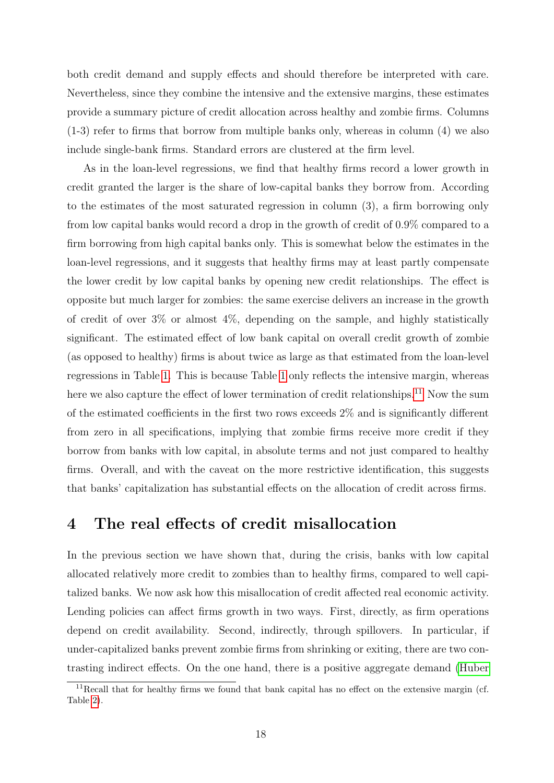both credit demand and supply effects and should therefore be interpreted with care. Nevertheless, since they combine the intensive and the extensive margins, these estimates provide a summary picture of credit allocation across healthy and zombie firms. Columns (1-3) refer to firms that borrow from multiple banks only, whereas in column (4) we also include single-bank firms. Standard errors are clustered at the firm level.

As in the loan-level regressions, we find that healthy firms record a lower growth in credit granted the larger is the share of low-capital banks they borrow from. According to the estimates of the most saturated regression in column (3), a firm borrowing only from low capital banks would record a drop in the growth of credit of 0.9% compared to a firm borrowing from high capital banks only. This is somewhat below the estimates in the loan-level regressions, and it suggests that healthy firms may at least partly compensate the lower credit by low capital banks by opening new credit relationships. The effect is opposite but much larger for zombies: the same exercise delivers an increase in the growth of credit of over 3% or almost 4%, depending on the sample, and highly statistically significant. The estimated effect of low bank capital on overall credit growth of zombie (as opposed to healthy) firms is about twice as large as that estimated from the loan-level regressions in Table [1.](#page-40-0) This is because Table [1](#page-40-0) only reflects the intensive margin, whereas here we also capture the effect of lower termination of credit relationships.<sup>[11](#page-18-1)</sup> Now the sum of the estimated coefficients in the first two rows exceeds 2% and is significantly different from zero in all specifications, implying that zombie firms receive more credit if they borrow from banks with low capital, in absolute terms and not just compared to healthy firms. Overall, and with the caveat on the more restrictive identification, this suggests that banks' capitalization has substantial effects on the allocation of credit across firms.

## <span id="page-18-0"></span>4 The real effects of credit misallocation

In the previous section we have shown that, during the crisis, banks with low capital allocated relatively more credit to zombies than to healthy firms, compared to well capitalized banks. We now ask how this misallocation of credit affected real economic activity. Lending policies can affect firms growth in two ways. First, directly, as firm operations depend on credit availability. Second, indirectly, through spillovers. In particular, if under-capitalized banks prevent zombie firms from shrinking or exiting, there are two contrasting indirect effects. On the one hand, there is a positive aggregate demand [\(Huber](#page-37-14)

<span id="page-18-1"></span> $11$ Recall that for healthy firms we found that bank capital has no effect on the extensive margin (cf. Table [2\)](#page-41-0).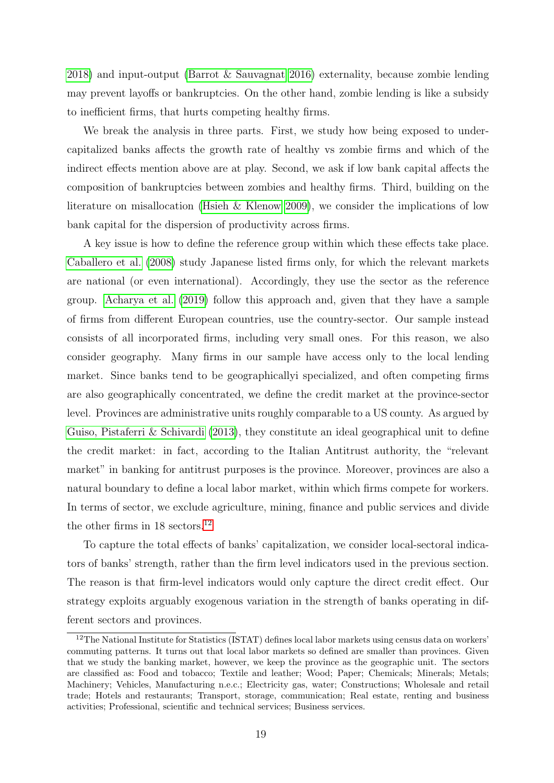[2018\)](#page-37-14) and input-output [\(Barrot & Sauvagnat 2016\)](#page-36-2) externality, because zombie lending may prevent layoffs or bankruptcies. On the other hand, zombie lending is like a subsidy to inefficient firms, that hurts competing healthy firms.

We break the analysis in three parts. First, we study how being exposed to undercapitalized banks affects the growth rate of healthy vs zombie firms and which of the indirect effects mention above are at play. Second, we ask if low bank capital affects the composition of bankruptcies between zombies and healthy firms. Third, building on the literature on misallocation [\(Hsieh & Klenow 2009\)](#page-37-2), we consider the implications of low bank capital for the dispersion of productivity across firms.

A key issue is how to define the reference group within which these effects take place. [Caballero et al.](#page-36-0) [\(2008\)](#page-36-0) study Japanese listed firms only, for which the relevant markets are national (or even international). Accordingly, they use the sector as the reference group. [Acharya et al.](#page-36-1) [\(2019\)](#page-36-1) follow this approach and, given that they have a sample of firms from different European countries, use the country-sector. Our sample instead consists of all incorporated firms, including very small ones. For this reason, we also consider geography. Many firms in our sample have access only to the local lending market. Since banks tend to be geographicallyi specialized, and often competing firms are also geographically concentrated, we define the credit market at the province-sector level. Provinces are administrative units roughly comparable to a US county. As argued by [Guiso, Pistaferri & Schivardi](#page-37-15) [\(2013\)](#page-37-15), they constitute an ideal geographical unit to define the credit market: in fact, according to the Italian Antitrust authority, the "relevant market" in banking for antitrust purposes is the province. Moreover, provinces are also a natural boundary to define a local labor market, within which firms compete for workers. In terms of sector, we exclude agriculture, mining, finance and public services and divide the other firms in 18 sectors.<sup>[12](#page-19-0)</sup>

To capture the total effects of banks' capitalization, we consider local-sectoral indicators of banks' strength, rather than the firm level indicators used in the previous section. The reason is that firm-level indicators would only capture the direct credit effect. Our strategy exploits arguably exogenous variation in the strength of banks operating in different sectors and provinces.

<span id="page-19-0"></span><sup>12</sup>The National Institute for Statistics (ISTAT) defines local labor markets using census data on workers' commuting patterns. It turns out that local labor markets so defined are smaller than provinces. Given that we study the banking market, however, we keep the province as the geographic unit. The sectors are classified as: Food and tobacco; Textile and leather; Wood; Paper; Chemicals; Minerals; Metals; Machinery; Vehicles, Manufacturing n.e.c.; Electricity gas, water; Constructions; Wholesale and retail trade; Hotels and restaurants; Transport, storage, communication; Real estate, renting and business activities; Professional, scientific and technical services; Business services.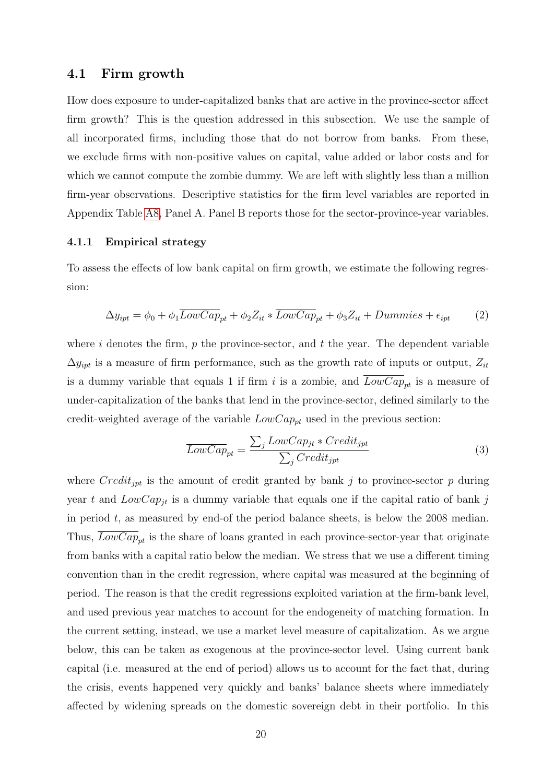### 4.1 Firm growth

How does exposure to under-capitalized banks that are active in the province-sector affect firm growth? This is the question addressed in this subsection. We use the sample of all incorporated firms, including those that do not borrow from banks. From these, we exclude firms with non-positive values on capital, value added or labor costs and for which we cannot compute the zombie dummy. We are left with slightly less than a million firm-year observations. Descriptive statistics for the firm level variables are reported in Appendix Table [A8,](#page-47-0) Panel A. Panel B reports those for the sector-province-year variables.

### <span id="page-20-1"></span>4.1.1 Empirical strategy

To assess the effects of low bank capital on firm growth, we estimate the following regression:

<span id="page-20-0"></span>
$$
\Delta y_{ipt} = \phi_0 + \phi_1 \overline{LowCap}_{pt} + \phi_2 Z_{it} * \overline{LowCap}_{pt} + \phi_3 Z_{it} + Dummies + \epsilon_{ipt}
$$
 (2)

where i denotes the firm,  $p$  the province-sector, and  $t$  the year. The dependent variable  $\Delta y_{ipt}$  is a measure of firm performance, such as the growth rate of inputs or output,  $Z_{it}$ is a dummy variable that equals 1 if firm i is a zombie, and  $LowCap_{pt}$  is a measure of under-capitalization of the banks that lend in the province-sector, defined similarly to the credit-weighted average of the variable  $LowCap_{pt}$  used in the previous section:

$$
\overline{LowCap}_{pt} = \frac{\sum_{j} LowCap_{jt} * Credit_{jpt}}{\sum_{j} Credit_{jpt}} \tag{3}
$$

where  $Credit_{jpt}$  is the amount of credit granted by bank j to province-sector p during year t and  $LowCap_{it}$  is a dummy variable that equals one if the capital ratio of bank j in period  $t$ , as measured by end-of the period balance sheets, is below the 2008 median. Thus,  $LowCap_{pt}$  is the share of loans granted in each province-sector-year that originate from banks with a capital ratio below the median. We stress that we use a different timing convention than in the credit regression, where capital was measured at the beginning of period. The reason is that the credit regressions exploited variation at the firm-bank level, and used previous year matches to account for the endogeneity of matching formation. In the current setting, instead, we use a market level measure of capitalization. As we argue below, this can be taken as exogenous at the province-sector level. Using current bank capital (i.e. measured at the end of period) allows us to account for the fact that, during the crisis, events happened very quickly and banks' balance sheets where immediately affected by widening spreads on the domestic sovereign debt in their portfolio. In this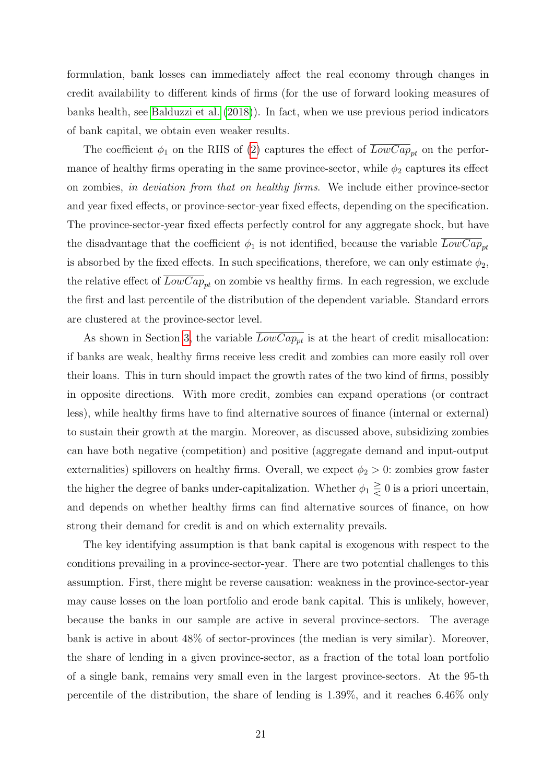formulation, bank losses can immediately affect the real economy through changes in credit availability to different kinds of firms (for the use of forward looking measures of banks health, see [Balduzzi et al.](#page-36-11) [\(2018\)](#page-36-11)). In fact, when we use previous period indicators of bank capital, we obtain even weaker results.

The coefficient  $\phi_1$  on the RHS of [\(2\)](#page-20-0) captures the effect of  $\overline{LowCap}_{pt}$  on the performance of healthy firms operating in the same province-sector, while  $\phi_2$  captures its effect on zombies, in deviation from that on healthy firms. We include either province-sector and year fixed effects, or province-sector-year fixed effects, depending on the specification. The province-sector-year fixed effects perfectly control for any aggregate shock, but have the disadvantage that the coefficient  $\phi_1$  is not identified, because the variable  $LowCap_{nt}$ is absorbed by the fixed effects. In such specifications, therefore, we can only estimate  $\phi_2$ , the relative effect of  $\overline{LowCap}_{pt}$  on zombie vs healthy firms. In each regression, we exclude the first and last percentile of the distribution of the dependent variable. Standard errors are clustered at the province-sector level.

As shown in Section [3,](#page-9-0) the variable  $\overline{LowCap_{pt}}$  is at the heart of credit misallocation: if banks are weak, healthy firms receive less credit and zombies can more easily roll over their loans. This in turn should impact the growth rates of the two kind of firms, possibly in opposite directions. With more credit, zombies can expand operations (or contract less), while healthy firms have to find alternative sources of finance (internal or external) to sustain their growth at the margin. Moreover, as discussed above, subsidizing zombies can have both negative (competition) and positive (aggregate demand and input-output externalities) spillovers on healthy firms. Overall, we expect  $\phi_2 > 0$ : zombies grow faster the higher the degree of banks under-capitalization. Whether  $\phi_1 \geq 0$  is a priori uncertain, and depends on whether healthy firms can find alternative sources of finance, on how strong their demand for credit is and on which externality prevails.

The key identifying assumption is that bank capital is exogenous with respect to the conditions prevailing in a province-sector-year. There are two potential challenges to this assumption. First, there might be reverse causation: weakness in the province-sector-year may cause losses on the loan portfolio and erode bank capital. This is unlikely, however, because the banks in our sample are active in several province-sectors. The average bank is active in about 48% of sector-provinces (the median is very similar). Moreover, the share of lending in a given province-sector, as a fraction of the total loan portfolio of a single bank, remains very small even in the largest province-sectors. At the 95-th percentile of the distribution, the share of lending is 1.39%, and it reaches 6.46% only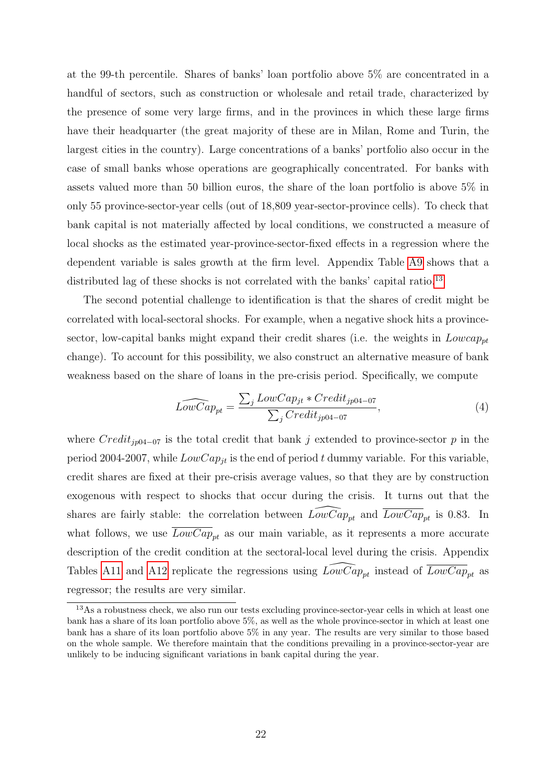at the 99-th percentile. Shares of banks' loan portfolio above 5% are concentrated in a handful of sectors, such as construction or wholesale and retail trade, characterized by the presence of some very large firms, and in the provinces in which these large firms have their headquarter (the great majority of these are in Milan, Rome and Turin, the largest cities in the country). Large concentrations of a banks' portfolio also occur in the case of small banks whose operations are geographically concentrated. For banks with assets valued more than 50 billion euros, the share of the loan portfolio is above 5% in only 55 province-sector-year cells (out of 18,809 year-sector-province cells). To check that bank capital is not materially affected by local conditions, we constructed a measure of local shocks as the estimated year-province-sector-fixed effects in a regression where the dependent variable is sales growth at the firm level. Appendix Table [A9](#page-47-1) shows that a distributed lag of these shocks is not correlated with the banks' capital ratio.<sup>[13](#page-22-0)</sup>

The second potential challenge to identification is that the shares of credit might be correlated with local-sectoral shocks. For example, when a negative shock hits a provincesector, low-capital banks might expand their credit shares (i.e. the weights in  $Lowcap_{pt}$ change). To account for this possibility, we also construct an alternative measure of bank weakness based on the share of loans in the pre-crisis period. Specifically, we compute

<span id="page-22-1"></span>
$$
\widehat{LowCap_{pt}} = \frac{\sum_{j} LowCap_{jt} * Credit_{jp04-07}}{\sum_{j} Credit_{jp04-07}},\tag{4}
$$

where  $Credit_{ip04-07}$  is the total credit that bank j extended to province-sector p in the period 2004-2007, while  $LowCap_{it}$  is the end of period t dummy variable. For this variable, credit shares are fixed at their pre-crisis average values, so that they are by construction exogenous with respect to shocks that occur during the crisis. It turns out that the shares are fairly stable: the correlation between  $\widehat{LowCap}_{pt}$  and  $\overline{LowCap}_{pt}$  is 0.83. In what follows, we use  $\overline{LowCap}_{pt}$  as our main variable, as it represents a more accurate description of the credit condition at the sectoral-local level during the crisis. Appendix Tables [A11](#page-0-0) and [A12](#page-0-0) replicate the regressions using  $\widehat{LowCap}_{pt}$  instead of  $\overline{LowCap}_{pt}$  as regressor; the results are very similar.

<span id="page-22-0"></span><sup>&</sup>lt;sup>13</sup>As a robustness check, we also run our tests excluding province-sector-year cells in which at least one bank has a share of its loan portfolio above 5%, as well as the whole province-sector in which at least one bank has a share of its loan portfolio above 5% in any year. The results are very similar to those based on the whole sample. We therefore maintain that the conditions prevailing in a province-sector-year are unlikely to be inducing significant variations in bank capital during the year.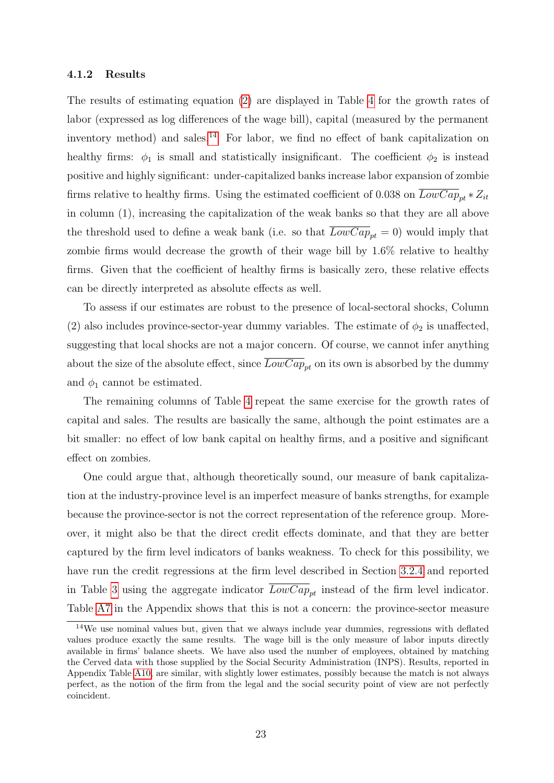#### 4.1.2 Results

The results of estimating equation [\(2\)](#page-20-0) are displayed in Table [4](#page-43-0) for the growth rates of labor (expressed as log differences of the wage bill), capital (measured by the permanent inventory method) and sales.<sup>[14](#page-23-0)</sup> For labor, we find no effect of bank capitalization on healthy firms:  $\phi_1$  is small and statistically insignificant. The coefficient  $\phi_2$  is instead positive and highly significant: under-capitalized banks increase labor expansion of zombie firms relative to healthy firms. Using the estimated coefficient of 0.038 on  $LowCap_{pt} * Z_{it}$ in column (1), increasing the capitalization of the weak banks so that they are all above the threshold used to define a weak bank (i.e. so that  $\overline{LowCap}_{pt} = 0$ ) would imply that zombie firms would decrease the growth of their wage bill by 1.6% relative to healthy firms. Given that the coefficient of healthy firms is basically zero, these relative effects can be directly interpreted as absolute effects as well.

To assess if our estimates are robust to the presence of local-sectoral shocks, Column (2) also includes province-sector-year dummy variables. The estimate of  $\phi_2$  is unaffected, suggesting that local shocks are not a major concern. Of course, we cannot infer anything about the size of the absolute effect, since  $\overline{LowCap}_{pt}$  on its own is absorbed by the dummy and  $\phi_1$  cannot be estimated.

The remaining columns of Table [4](#page-43-0) repeat the same exercise for the growth rates of capital and sales. The results are basically the same, although the point estimates are a bit smaller: no effect of low bank capital on healthy firms, and a positive and significant effect on zombies.

One could argue that, although theoretically sound, our measure of bank capitalization at the industry-province level is an imperfect measure of banks strengths, for example because the province-sector is not the correct representation of the reference group. Moreover, it might also be that the direct credit effects dominate, and that they are better captured by the firm level indicators of banks weakness. To check for this possibility, we have run the credit regressions at the firm level described in Section [3.2.4](#page-17-0) and reported in Table [3](#page-42-0) using the aggregate indicator  $\overline{LowCap}_{pt}$  instead of the firm level indicator. Table [A7](#page-46-0) in the Appendix shows that this is not a concern: the province-sector measure

<span id="page-23-0"></span> $14$ We use nominal values but, given that we always include year dummies, regressions with deflated values produce exactly the same results. The wage bill is the only measure of labor inputs directly available in firms' balance sheets. We have also used the number of employees, obtained by matching the Cerved data with those supplied by the Social Security Administration (INPS). Results, reported in Appendix Table [A10,](#page-0-0) are similar, with slightly lower estimates, possibly because the match is not always perfect, as the notion of the firm from the legal and the social security point of view are not perfectly coincident.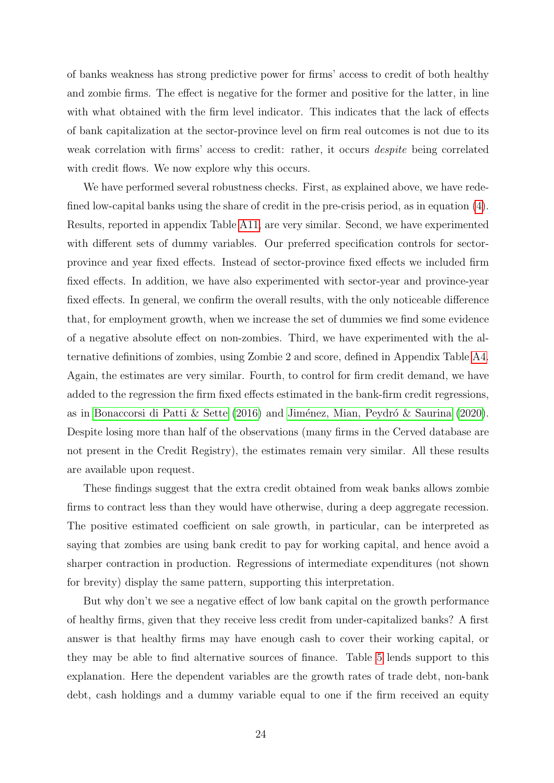of banks weakness has strong predictive power for firms' access to credit of both healthy and zombie firms. The effect is negative for the former and positive for the latter, in line with what obtained with the firm level indicator. This indicates that the lack of effects of bank capitalization at the sector-province level on firm real outcomes is not due to its weak correlation with firms' access to credit: rather, it occurs despite being correlated with credit flows. We now explore why this occurs.

We have performed several robustness checks. First, as explained above, we have redefined low-capital banks using the share of credit in the pre-crisis period, as in equation [\(4\)](#page-22-1). Results, reported in appendix Table [A11,](#page-0-0) are very similar. Second, we have experimented with different sets of dummy variables. Our preferred specification controls for sectorprovince and year fixed effects. Instead of sector-province fixed effects we included firm fixed effects. In addition, we have also experimented with sector-year and province-year fixed effects. In general, we confirm the overall results, with the only noticeable difference that, for employment growth, when we increase the set of dummies we find some evidence of a negative absolute effect on non-zombies. Third, we have experimented with the alternative definitions of zombies, using Zombie 2 and score, defined in Appendix Table [A4.](#page-43-0) Again, the estimates are very similar. Fourth, to control for firm credit demand, we have added to the regression the firm fixed effects estimated in the bank-firm credit regressions, as in [Bonaccorsi di Patti & Sette](#page-36-14) [\(2016\)](#page-36-14) and Jiménez, Mian, Peydró & Saurina [\(2020\)](#page-37-16). Despite losing more than half of the observations (many firms in the Cerved database are not present in the Credit Registry), the estimates remain very similar. All these results are available upon request.

These findings suggest that the extra credit obtained from weak banks allows zombie firms to contract less than they would have otherwise, during a deep aggregate recession. The positive estimated coefficient on sale growth, in particular, can be interpreted as saying that zombies are using bank credit to pay for working capital, and hence avoid a sharper contraction in production. Regressions of intermediate expenditures (not shown for brevity) display the same pattern, supporting this interpretation.

But why don't we see a negative effect of low bank capital on the growth performance of healthy firms, given that they receive less credit from under-capitalized banks? A first answer is that healthy firms may have enough cash to cover their working capital, or they may be able to find alternative sources of finance. Table [5](#page-44-0) lends support to this explanation. Here the dependent variables are the growth rates of trade debt, non-bank debt, cash holdings and a dummy variable equal to one if the firm received an equity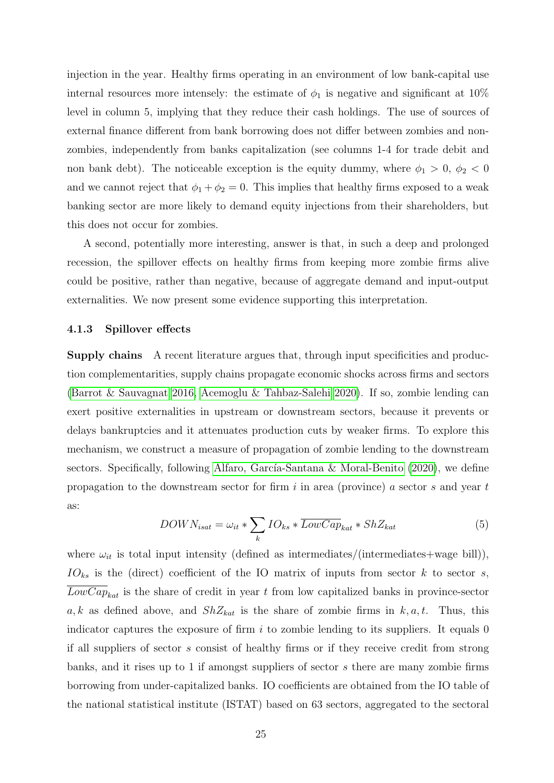injection in the year. Healthy firms operating in an environment of low bank-capital use internal resources more intensely: the estimate of  $\phi_1$  is negative and significant at 10% level in column 5, implying that they reduce their cash holdings. The use of sources of external finance different from bank borrowing does not differ between zombies and nonzombies, independently from banks capitalization (see columns 1-4 for trade debit and non bank debt). The noticeable exception is the equity dummy, where  $\phi_1 > 0$ ,  $\phi_2 < 0$ and we cannot reject that  $\phi_1 + \phi_2 = 0$ . This implies that healthy firms exposed to a weak banking sector are more likely to demand equity injections from their shareholders, but this does not occur for zombies.

A second, potentially more interesting, answer is that, in such a deep and prolonged recession, the spillover effects on healthy firms from keeping more zombie firms alive could be positive, rather than negative, because of aggregate demand and input-output externalities. We now present some evidence supporting this interpretation.

#### 4.1.3 Spillover effects

Supply chains A recent literature argues that, through input specificities and production complementarities, supply chains propagate economic shocks across firms and sectors [\(Barrot & Sauvagnat 2016,](#page-36-2) [Acemoglu & Tahbaz-Salehi 2020\)](#page-36-3). If so, zombie lending can exert positive externalities in upstream or downstream sectors, because it prevents or delays bankruptcies and it attenuates production cuts by weaker firms. To explore this mechanism, we construct a measure of propagation of zombie lending to the downstream sectors. Specifically, following Alfaro, García-Santana & Moral-Benito  $(2020)$ , we define propagation to the downstream sector for firm  $i$  in area (province) a sector  $s$  and year  $t$ as:

<span id="page-25-0"></span>
$$
DOWN_{isat} = \omega_{it} * \sum_{k} IO_{ks} * \overline{LowCap}_{kat} * ShZ_{kat}
$$
 (5)

where  $\omega_{it}$  is total input intensity (defined as intermediates/(intermediates+wage bill)),  $IO_{ks}$  is the (direct) coefficient of the IO matrix of inputs from sector k to sector s,  $LowCap_{kat}$  is the share of credit in year t from low capitalized banks in province-sector a, k as defined above, and  $ShZ_{kat}$  is the share of zombie firms in  $k, a, t$ . Thus, this indicator captures the exposure of firm  $i$  to zombie lending to its suppliers. It equals 0 if all suppliers of sector s consist of healthy firms or if they receive credit from strong banks, and it rises up to 1 if amongst suppliers of sector s there are many zombie firms borrowing from under-capitalized banks. IO coefficients are obtained from the IO table of the national statistical institute (ISTAT) based on 63 sectors, aggregated to the sectoral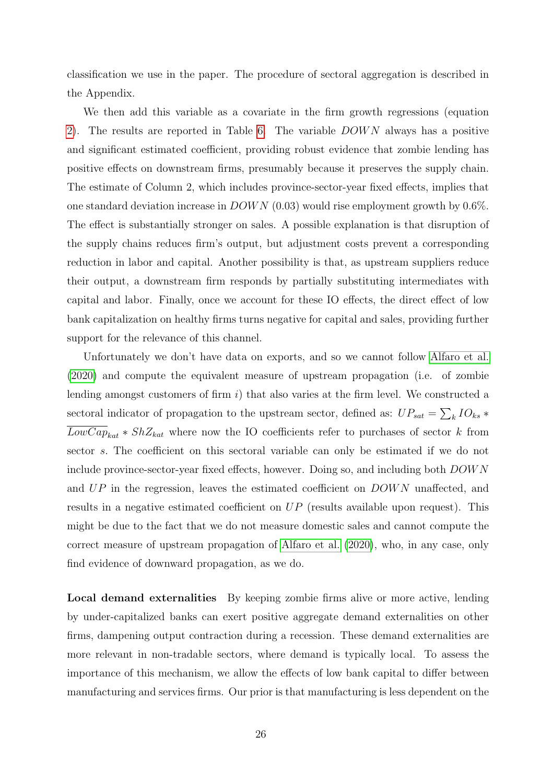classification we use in the paper. The procedure of sectoral aggregation is described in the Appendix.

We then add this variable as a covariate in the firm growth regressions (equation [2\)](#page-20-0). The results are reported in Table [6.](#page-45-0) The variable *DOWN* always has a positive and significant estimated coefficient, providing robust evidence that zombie lending has positive effects on downstream firms, presumably because it preserves the supply chain. The estimate of Column 2, which includes province-sector-year fixed effects, implies that one standard deviation increase in  $DOWN$  (0.03) would rise employment growth by 0.6%. The effect is substantially stronger on sales. A possible explanation is that disruption of the supply chains reduces firm's output, but adjustment costs prevent a corresponding reduction in labor and capital. Another possibility is that, as upstream suppliers reduce their output, a downstream firm responds by partially substituting intermediates with capital and labor. Finally, once we account for these IO effects, the direct effect of low bank capitalization on healthy firms turns negative for capital and sales, providing further support for the relevance of this channel.

Unfortunately we don't have data on exports, and so we cannot follow [Alfaro et al.](#page-36-15) [\(2020\)](#page-36-15) and compute the equivalent measure of upstream propagation (i.e. of zombie lending amongst customers of firm  $i$ ) that also varies at the firm level. We constructed a sectoral indicator of propagation to the upstream sector, defined as:  $UP_{sat} = \sum_{k} IO_{ks} *$  $\overline{LowCap}_{kat} * ShZ_{kat}$  where now the IO coefficients refer to purchases of sector k from sector s. The coefficient on this sectoral variable can only be estimated if we do not include province-sector-year fixed effects, however. Doing so, and including both DOW N and UP in the regression, leaves the estimated coefficient on DOWN unaffected, and results in a negative estimated coefficient on  $UP$  (results available upon request). This might be due to the fact that we do not measure domestic sales and cannot compute the correct measure of upstream propagation of [Alfaro et al.](#page-36-15) [\(2020\)](#page-36-15), who, in any case, only find evidence of downward propagation, as we do.

Local demand externalities By keeping zombie firms alive or more active, lending by under-capitalized banks can exert positive aggregate demand externalities on other firms, dampening output contraction during a recession. These demand externalities are more relevant in non-tradable sectors, where demand is typically local. To assess the importance of this mechanism, we allow the effects of low bank capital to differ between manufacturing and services firms. Our prior is that manufacturing is less dependent on the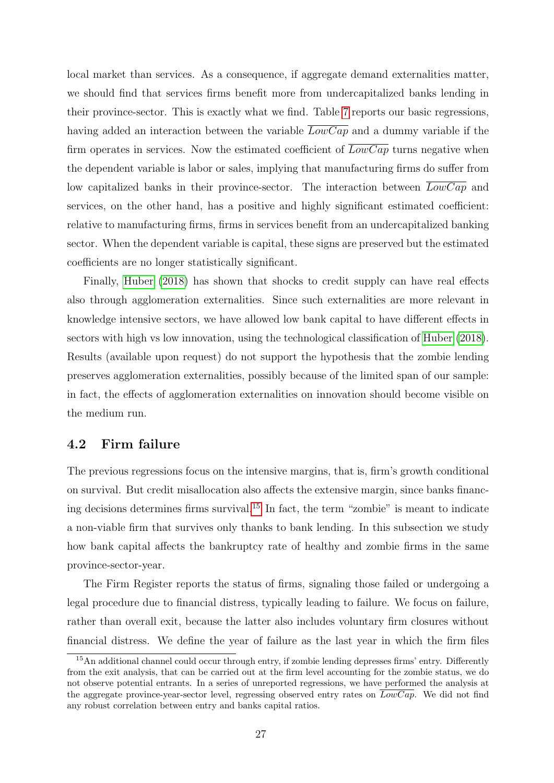local market than services. As a consequence, if aggregate demand externalities matter, we should find that services firms benefit more from undercapitalized banks lending in their province-sector. This is exactly what we find. Table [7](#page-46-0) reports our basic regressions, having added an interaction between the variable  $\overline{LowCap}$  and a dummy variable if the firm operates in services. Now the estimated coefficient of  $\overline{LowCap}$  turns negative when the dependent variable is labor or sales, implying that manufacturing firms do suffer from low capitalized banks in their province-sector. The interaction between  $LowCap$  and services, on the other hand, has a positive and highly significant estimated coefficient: relative to manufacturing firms, firms in services benefit from an undercapitalized banking sector. When the dependent variable is capital, these signs are preserved but the estimated coefficients are no longer statistically significant.

Finally, [Huber](#page-37-14) [\(2018\)](#page-37-14) has shown that shocks to credit supply can have real effects also through agglomeration externalities. Since such externalities are more relevant in knowledge intensive sectors, we have allowed low bank capital to have different effects in sectors with high vs low innovation, using the technological classification of [Huber](#page-37-14) [\(2018\)](#page-37-14). Results (available upon request) do not support the hypothesis that the zombie lending preserves agglomeration externalities, possibly because of the limited span of our sample: in fact, the effects of agglomeration externalities on innovation should become visible on the medium run.

### 4.2 Firm failure

The previous regressions focus on the intensive margins, that is, firm's growth conditional on survival. But credit misallocation also affects the extensive margin, since banks financing decisions determines firms survival.[15](#page-27-0) In fact, the term "zombie" is meant to indicate a non-viable firm that survives only thanks to bank lending. In this subsection we study how bank capital affects the bankruptcy rate of healthy and zombie firms in the same province-sector-year.

The Firm Register reports the status of firms, signaling those failed or undergoing a legal procedure due to financial distress, typically leading to failure. We focus on failure, rather than overall exit, because the latter also includes voluntary firm closures without financial distress. We define the year of failure as the last year in which the firm files

<span id="page-27-0"></span><sup>15</sup>An additional channel could occur through entry, if zombie lending depresses firms' entry. Differently from the exit analysis, that can be carried out at the firm level accounting for the zombie status, we do not observe potential entrants. In a series of unreported regressions, we have performed the analysis at the aggregate province-year-sector level, regressing observed entry rates on  $\overline{LowCap}$ . We did not find any robust correlation between entry and banks capital ratios.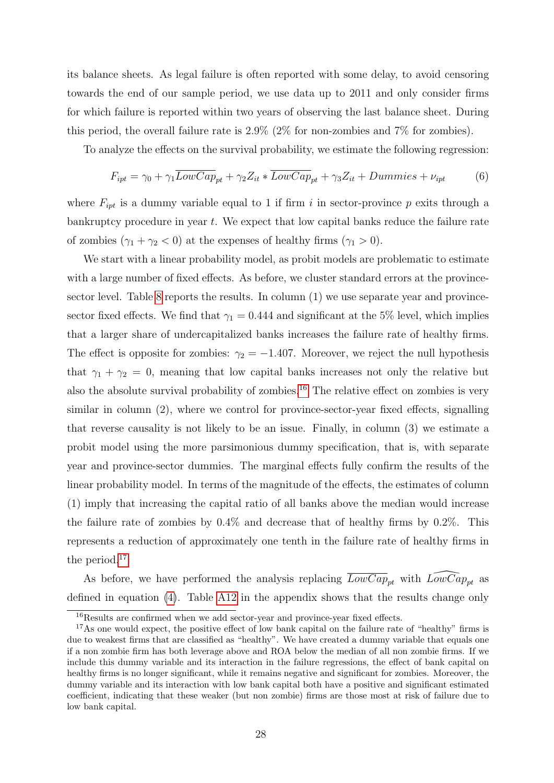its balance sheets. As legal failure is often reported with some delay, to avoid censoring towards the end of our sample period, we use data up to 2011 and only consider firms for which failure is reported within two years of observing the last balance sheet. During this period, the overall failure rate is 2.9% (2% for non-zombies and 7% for zombies).

To analyze the effects on the survival probability, we estimate the following regression:

$$
F_{ipt} = \gamma_0 + \gamma_1 \overline{LowCap}_{pt} + \gamma_2 Z_{it} * \overline{LowCap}_{pt} + \gamma_3 Z_{it} + Dummies + \nu_{ipt}
$$
(6)

where  $F_{ipt}$  is a dummy variable equal to 1 if firm i in sector-province p exits through a bankruptcy procedure in year t. We expect that low capital banks reduce the failure rate of zombies  $(\gamma_1 + \gamma_2 < 0)$  at the expenses of healthy firms  $(\gamma_1 > 0)$ .

We start with a linear probability model, as probit models are problematic to estimate with a large number of fixed effects. As before, we cluster standard errors at the provincesector level. Table [8](#page-47-0) reports the results. In column (1) we use separate year and provincesector fixed effects. We find that  $\gamma_1 = 0.444$  and significant at the 5% level, which implies that a larger share of undercapitalized banks increases the failure rate of healthy firms. The effect is opposite for zombies:  $\gamma_2 = -1.407$ . Moreover, we reject the null hypothesis that  $\gamma_1 + \gamma_2 = 0$ , meaning that low capital banks increases not only the relative but also the absolute survival probability of zombies.<sup>[16](#page-28-0)</sup> The relative effect on zombies is very similar in column (2), where we control for province-sector-year fixed effects, signalling that reverse causality is not likely to be an issue. Finally, in column (3) we estimate a probit model using the more parsimonious dummy specification, that is, with separate year and province-sector dummies. The marginal effects fully confirm the results of the linear probability model. In terms of the magnitude of the effects, the estimates of column (1) imply that increasing the capital ratio of all banks above the median would increase the failure rate of zombies by 0.4% and decrease that of healthy firms by 0.2%. This represents a reduction of approximately one tenth in the failure rate of healthy firms in the period.[17](#page-28-1)

As before, we have performed the analysis replacing  $\overline{LowCap}_{pt}$  with  $\widehat{LowCap}_{pt}$  as defined in equation [\(4\)](#page-22-1). Table [A12](#page-0-0) in the appendix shows that the results change only

<span id="page-28-1"></span><span id="page-28-0"></span><sup>&</sup>lt;sup>16</sup>Results are confirmed when we add sector-year and province-year fixed effects.

<sup>&</sup>lt;sup>17</sup>As one would expect, the positive effect of low bank capital on the failure rate of "healthy" firms is due to weakest firms that are classified as "healthy". We have created a dummy variable that equals one if a non zombie firm has both leverage above and ROA below the median of all non zombie firms. If we include this dummy variable and its interaction in the failure regressions, the effect of bank capital on healthy firms is no longer significant, while it remains negative and significant for zombies. Moreover, the dummy variable and its interaction with low bank capital both have a positive and significant estimated coefficient, indicating that these weaker (but non zombie) firms are those most at risk of failure due to low bank capital.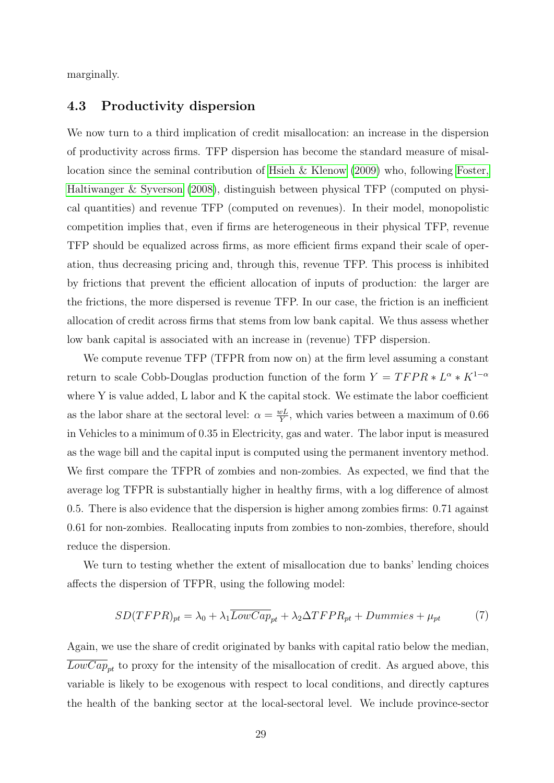marginally.

### 4.3 Productivity dispersion

We now turn to a third implication of credit misallocation: an increase in the dispersion of productivity across firms. TFP dispersion has become the standard measure of misallocation since the seminal contribution of [Hsieh & Klenow](#page-37-2) [\(2009\)](#page-37-2) who, following [Foster,](#page-36-16) [Haltiwanger & Syverson](#page-36-16) [\(2008\)](#page-36-16), distinguish between physical TFP (computed on physical quantities) and revenue TFP (computed on revenues). In their model, monopolistic competition implies that, even if firms are heterogeneous in their physical TFP, revenue TFP should be equalized across firms, as more efficient firms expand their scale of operation, thus decreasing pricing and, through this, revenue TFP. This process is inhibited by frictions that prevent the efficient allocation of inputs of production: the larger are the frictions, the more dispersed is revenue TFP. In our case, the friction is an inefficient allocation of credit across firms that stems from low bank capital. We thus assess whether low bank capital is associated with an increase in (revenue) TFP dispersion.

We compute revenue TFP (TFPR from now on) at the firm level assuming a constant return to scale Cobb-Douglas production function of the form  $Y = TFPR * L^{\alpha} * K^{1-\alpha}$ where Y is value added, L labor and K the capital stock. We estimate the labor coefficient as the labor share at the sectoral level:  $\alpha = \frac{wL}{V}$  $\frac{vL}{Y}$ , which varies between a maximum of 0.66 in Vehicles to a minimum of 0.35 in Electricity, gas and water. The labor input is measured as the wage bill and the capital input is computed using the permanent inventory method. We first compare the TFPR of zombies and non-zombies. As expected, we find that the average log TFPR is substantially higher in healthy firms, with a log difference of almost 0.5. There is also evidence that the dispersion is higher among zombies firms: 0.71 against 0.61 for non-zombies. Reallocating inputs from zombies to non-zombies, therefore, should reduce the dispersion.

We turn to testing whether the extent of misallocation due to banks' lending choices affects the dispersion of TFPR, using the following model:

$$
SD(TFPR)_{pt} = \lambda_0 + \lambda_1 \overline{LowCap}_{pt} + \lambda_2 \Delta TFPR_{pt} + Dummies + \mu_{pt}
$$
 (7)

Again, we use the share of credit originated by banks with capital ratio below the median,  $\overline{LowCap}_{pt}$  to proxy for the intensity of the misallocation of credit. As argued above, this variable is likely to be exogenous with respect to local conditions, and directly captures the health of the banking sector at the local-sectoral level. We include province-sector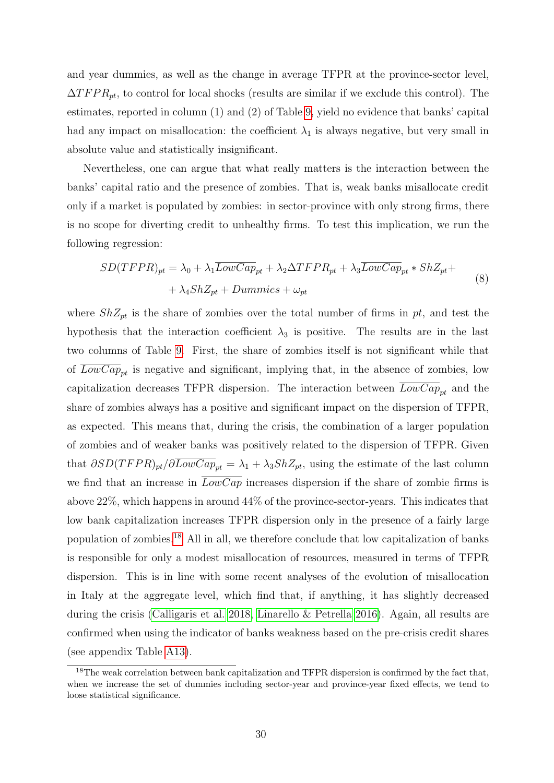and year dummies, as well as the change in average TFPR at the province-sector level,  $\Delta T F P R_{pt}$ , to control for local shocks (results are similar if we exclude this control). The estimates, reported in column (1) and (2) of Table [9,](#page-47-1) yield no evidence that banks' capital had any impact on misallocation: the coefficient  $\lambda_1$  is always negative, but very small in absolute value and statistically insignificant.

Nevertheless, one can argue that what really matters is the interaction between the banks' capital ratio and the presence of zombies. That is, weak banks misallocate credit only if a market is populated by zombies: in sector-province with only strong firms, there is no scope for diverting credit to unhealthy firms. To test this implication, we run the following regression:

$$
SD(TFPR)_{pt} = \lambda_0 + \lambda_1 \overline{LowCap}_{pt} + \lambda_2 \Delta TFPR_{pt} + \lambda_3 \overline{LowCap}_{pt} * ShZ_{pt} + + \lambda_4 ShZ_{pt} + Dummies + \omega_{pt}
$$
\n(8)

where  $ShZ_{pt}$  is the share of zombies over the total number of firms in pt, and test the hypothesis that the interaction coefficient  $\lambda_3$  is positive. The results are in the last two columns of Table [9.](#page-47-1) First, the share of zombies itself is not significant while that of  $LowCap_{nt}$  is negative and significant, implying that, in the absence of zombies, low capitalization decreases TFPR dispersion. The interaction between  $\overline{LowCap}_{pt}$  and the share of zombies always has a positive and significant impact on the dispersion of TFPR, as expected. This means that, during the crisis, the combination of a larger population of zombies and of weaker banks was positively related to the dispersion of TFPR. Given that  $\partial SD(TFPR)_{pt}/\partial \overline{LowCap}_{pt} = \lambda_1 + \lambda_3 ShZ_{pt}$ , using the estimate of the last column we find that an increase in  $\overline{LowCap}$  increases dispersion if the share of zombie firms is above 22%, which happens in around 44% of the province-sector-years. This indicates that low bank capitalization increases TFPR dispersion only in the presence of a fairly large population of zombies.[18](#page-30-0) All in all, we therefore conclude that low capitalization of banks is responsible for only a modest misallocation of resources, measured in terms of TFPR dispersion. This is in line with some recent analyses of the evolution of misallocation in Italy at the aggregate level, which find that, if anything, it has slightly decreased during the crisis [\(Calligaris et al. 2018,](#page-36-9) [Linarello & Petrella 2016\)](#page-37-17). Again, all results are confirmed when using the indicator of banks weakness based on the pre-crisis credit shares (see appendix Table [A13\)](#page-0-0).

<span id="page-30-0"></span> $18$ The weak correlation between bank capitalization and TFPR dispersion is confirmed by the fact that, when we increase the set of dummies including sector-year and province-year fixed effects, we tend to loose statistical significance.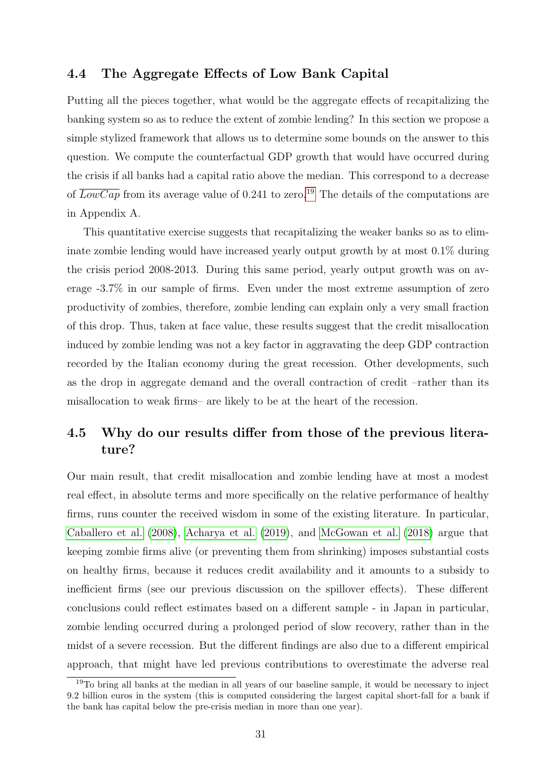### 4.4 The Aggregate Effects of Low Bank Capital

Putting all the pieces together, what would be the aggregate effects of recapitalizing the banking system so as to reduce the extent of zombie lending? In this section we propose a simple stylized framework that allows us to determine some bounds on the answer to this question. We compute the counterfactual GDP growth that would have occurred during the crisis if all banks had a capital ratio above the median. This correspond to a decrease of  $\overline{LowCap}$  from its average value of 0.241 to zero.<sup>[19](#page-31-1)</sup> The details of the computations are in Appendix A.

This quantitative exercise suggests that recapitalizing the weaker banks so as to eliminate zombie lending would have increased yearly output growth by at most 0.1% during the crisis period 2008-2013. During this same period, yearly output growth was on average -3.7% in our sample of firms. Even under the most extreme assumption of zero productivity of zombies, therefore, zombie lending can explain only a very small fraction of this drop. Thus, taken at face value, these results suggest that the credit misallocation induced by zombie lending was not a key factor in aggravating the deep GDP contraction recorded by the Italian economy during the great recession. Other developments, such as the drop in aggregate demand and the overall contraction of credit –rather than its misallocation to weak firms– are likely to be at the heart of the recession.

## <span id="page-31-0"></span>4.5 Why do our results differ from those of the previous literature?

Our main result, that credit misallocation and zombie lending have at most a modest real effect, in absolute terms and more specifically on the relative performance of healthy firms, runs counter the received wisdom in some of the existing literature. In particular, [Caballero et al.](#page-36-0) [\(2008\)](#page-36-0), [Acharya et al.](#page-36-1) [\(2019\)](#page-36-1), and [McGowan et al.](#page-37-4) [\(2018\)](#page-37-4) argue that keeping zombie firms alive (or preventing them from shrinking) imposes substantial costs on healthy firms, because it reduces credit availability and it amounts to a subsidy to inefficient firms (see our previous discussion on the spillover effects). These different conclusions could reflect estimates based on a different sample - in Japan in particular, zombie lending occurred during a prolonged period of slow recovery, rather than in the midst of a severe recession. But the different findings are also due to a different empirical approach, that might have led previous contributions to overestimate the adverse real

<span id="page-31-1"></span><sup>19</sup>To bring all banks at the median in all years of our baseline sample, it would be necessary to inject 9.2 billion euros in the system (this is computed considering the largest capital short-fall for a bank if the bank has capital below the pre-crisis median in more than one year).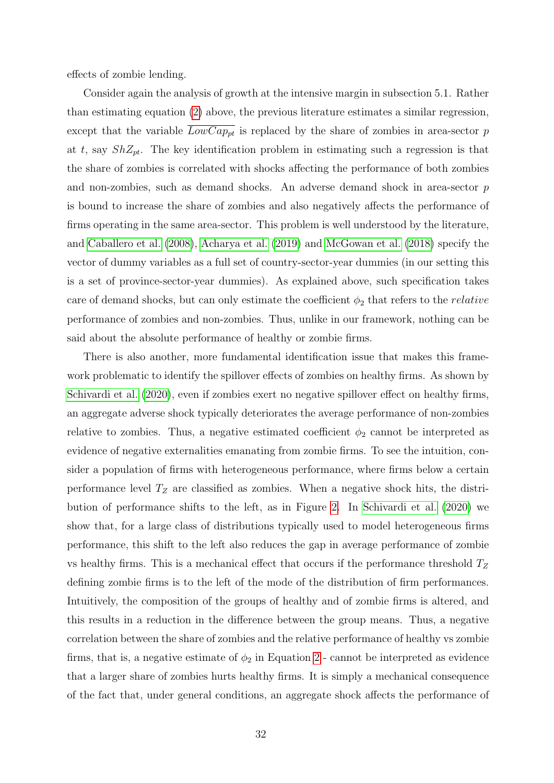effects of zombie lending.

Consider again the analysis of growth at the intensive margin in subsection 5.1. Rather than estimating equation [\(2\)](#page-20-0) above, the previous literature estimates a similar regression, except that the variable  $\overline{LowCap_{pt}}$  is replaced by the share of zombies in area-sector p at t, say  $ShZ_{pt}$ . The key identification problem in estimating such a regression is that the share of zombies is correlated with shocks affecting the performance of both zombies and non-zombies, such as demand shocks. An adverse demand shock in area-sector p is bound to increase the share of zombies and also negatively affects the performance of firms operating in the same area-sector. This problem is well understood by the literature, and [Caballero et al.](#page-36-0) [\(2008\)](#page-36-0), [Acharya et al.](#page-36-1) [\(2019\)](#page-36-1) and [McGowan et al.](#page-37-4) [\(2018\)](#page-37-4) specify the vector of dummy variables as a full set of country-sector-year dummies (in our setting this is a set of province-sector-year dummies). As explained above, such specification takes care of demand shocks, but can only estimate the coefficient  $\phi_2$  that refers to the *relative* performance of zombies and non-zombies. Thus, unlike in our framework, nothing can be said about the absolute performance of healthy or zombie firms.

There is also another, more fundamental identification issue that makes this framework problematic to identify the spillover effects of zombies on healthy firms. As shown by [Schivardi et al.](#page-38-0) [\(2020\)](#page-38-0), even if zombies exert no negative spillover effect on healthy firms, an aggregate adverse shock typically deteriorates the average performance of non-zombies relative to zombies. Thus, a negative estimated coefficient  $\phi_2$  cannot be interpreted as evidence of negative externalities emanating from zombie firms. To see the intuition, consider a population of firms with heterogeneous performance, where firms below a certain performance level  $T<sub>Z</sub>$  are classified as zombies. When a negative shock hits, the distribution of performance shifts to the left, as in Figure [2.](#page-39-1) In [Schivardi et al.](#page-38-0) [\(2020\)](#page-38-0) we show that, for a large class of distributions typically used to model heterogeneous firms performance, this shift to the left also reduces the gap in average performance of zombie vs healthy firms. This is a mechanical effect that occurs if the performance threshold  $T_Z$ defining zombie firms is to the left of the mode of the distribution of firm performances. Intuitively, the composition of the groups of healthy and of zombie firms is altered, and this results in a reduction in the difference between the group means. Thus, a negative correlation between the share of zombies and the relative performance of healthy vs zombie firms, that is, a negative estimate of  $\phi_2$  in Equation [2](#page-20-0) - cannot be interpreted as evidence that a larger share of zombies hurts healthy firms. It is simply a mechanical consequence of the fact that, under general conditions, an aggregate shock affects the performance of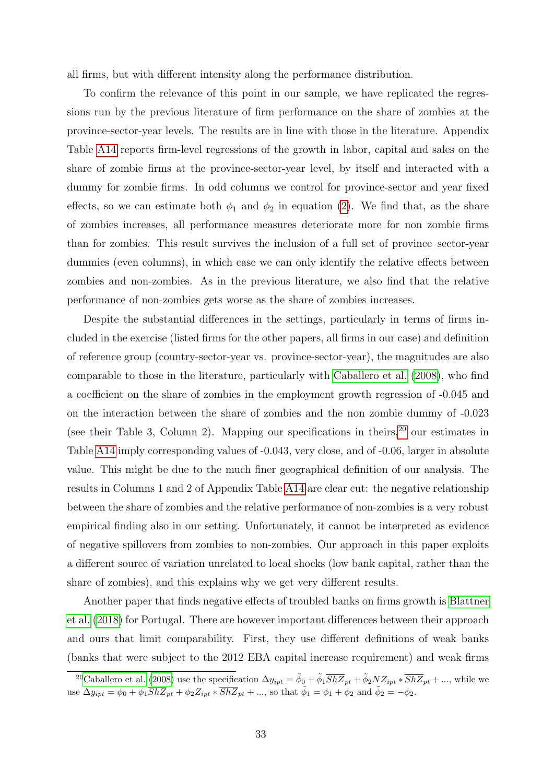all firms, but with different intensity along the performance distribution.

To confirm the relevance of this point in our sample, we have replicated the regressions run by the previous literature of firm performance on the share of zombies at the province-sector-year levels. The results are in line with those in the literature. Appendix Table [A14](#page-0-0) reports firm-level regressions of the growth in labor, capital and sales on the share of zombie firms at the province-sector-year level, by itself and interacted with a dummy for zombie firms. In odd columns we control for province-sector and year fixed effects, so we can estimate both  $\phi_1$  and  $\phi_2$  in equation [\(2\)](#page-20-0). We find that, as the share of zombies increases, all performance measures deteriorate more for non zombie firms than for zombies. This result survives the inclusion of a full set of province–sector-year dummies (even columns), in which case we can only identify the relative effects between zombies and non-zombies. As in the previous literature, we also find that the relative performance of non-zombies gets worse as the share of zombies increases.

Despite the substantial differences in the settings, particularly in terms of firms included in the exercise (listed firms for the other papers, all firms in our case) and definition of reference group (country-sector-year vs. province-sector-year), the magnitudes are also comparable to those in the literature, particularly with [Caballero et al.](#page-36-0) [\(2008\)](#page-36-0), who find a coefficient on the share of zombies in the employment growth regression of -0.045 and on the interaction between the share of zombies and the non zombie dummy of -0.023 (see their Table 3, Column 2). Mapping our specifications in theirs,  $20$  our estimates in Table [A14](#page-0-0) imply corresponding values of -0.043, very close, and of -0.06, larger in absolute value. This might be due to the much finer geographical definition of our analysis. The results in Columns 1 and 2 of Appendix Table [A14](#page-0-0) are clear cut: the negative relationship between the share of zombies and the relative performance of non-zombies is a very robust empirical finding also in our setting. Unfortunately, it cannot be interpreted as evidence of negative spillovers from zombies to non-zombies. Our approach in this paper exploits a different source of variation unrelated to local shocks (low bank capital, rather than the share of zombies), and this explains why we get very different results.

Another paper that finds negative effects of troubled banks on firms growth is [Blattner](#page-36-5) [et al.](#page-36-5) [\(2018\)](#page-36-5) for Portugal. There are however important differences between their approach and ours that limit comparability. First, they use different definitions of weak banks (banks that were subject to the 2012 EBA capital increase requirement) and weak firms

<span id="page-33-0"></span><sup>&</sup>lt;sup>20</sup>[Caballero et al.](#page-36-0) [\(2008\)](#page-36-0) use the specification  $\Delta y_{ipt} = \tilde{\phi}_0 + \tilde{\phi}_1 \overline{ShZ}_{pt} + \tilde{\phi}_2 N Z_{ipt} * \overline{ShZ}_{pt} + ...,$  while we use  $\Delta y_{ipt} = \phi_0 + \phi_1 \overline{ShZ}_{pt} + \phi_2 Z_{ipt} * \overline{ShZ}_{pt} + ...,$  so that  $\tilde{\phi}_1 = \phi_1 + \phi_2$  and  $\tilde{\phi}_2 = -\phi_2$ .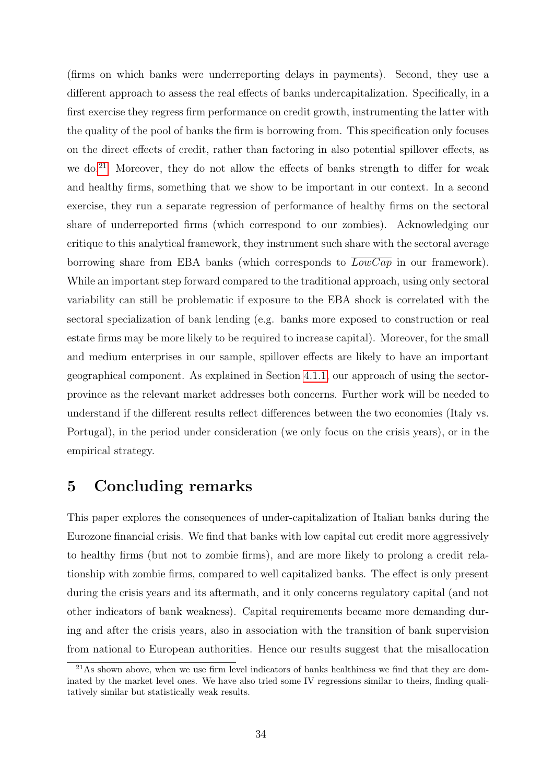(firms on which banks were underreporting delays in payments). Second, they use a different approach to assess the real effects of banks undercapitalization. Specifically, in a first exercise they regress firm performance on credit growth, instrumenting the latter with the quality of the pool of banks the firm is borrowing from. This specification only focuses on the direct effects of credit, rather than factoring in also potential spillover effects, as we do.<sup>[21](#page-34-1)</sup> Moreover, they do not allow the effects of banks strength to differ for weak and healthy firms, something that we show to be important in our context. In a second exercise, they run a separate regression of performance of healthy firms on the sectoral share of underreported firms (which correspond to our zombies). Acknowledging our critique to this analytical framework, they instrument such share with the sectoral average borrowing share from EBA banks (which corresponds to LowCap in our framework). While an important step forward compared to the traditional approach, using only sectoral variability can still be problematic if exposure to the EBA shock is correlated with the sectoral specialization of bank lending (e.g. banks more exposed to construction or real estate firms may be more likely to be required to increase capital). Moreover, for the small and medium enterprises in our sample, spillover effects are likely to have an important geographical component. As explained in Section [4.1.1,](#page-20-1) our approach of using the sectorprovince as the relevant market addresses both concerns. Further work will be needed to understand if the different results reflect differences between the two economies (Italy vs. Portugal), in the period under consideration (we only focus on the crisis years), or in the empirical strategy.

# <span id="page-34-0"></span>5 Concluding remarks

This paper explores the consequences of under-capitalization of Italian banks during the Eurozone financial crisis. We find that banks with low capital cut credit more aggressively to healthy firms (but not to zombie firms), and are more likely to prolong a credit relationship with zombie firms, compared to well capitalized banks. The effect is only present during the crisis years and its aftermath, and it only concerns regulatory capital (and not other indicators of bank weakness). Capital requirements became more demanding during and after the crisis years, also in association with the transition of bank supervision from national to European authorities. Hence our results suggest that the misallocation

<span id="page-34-1"></span> $21\text{As}$  shown above, when we use firm level indicators of banks healthiness we find that they are dominated by the market level ones. We have also tried some IV regressions similar to theirs, finding qualitatively similar but statistically weak results.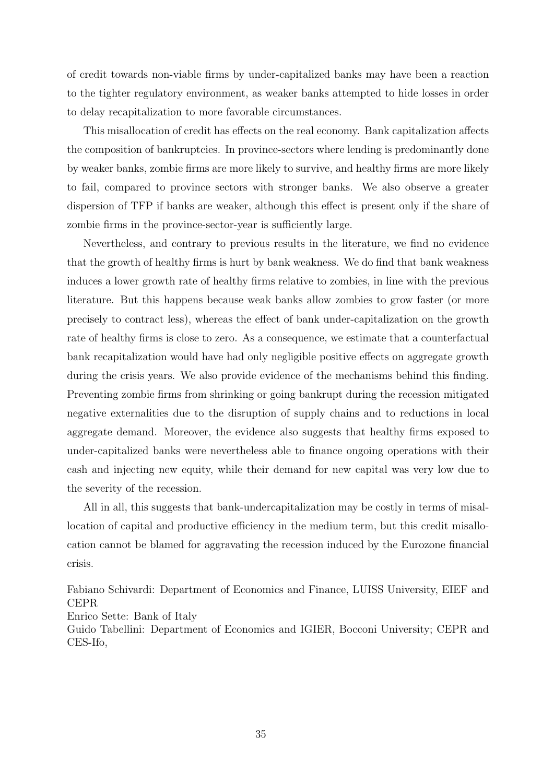of credit towards non-viable firms by under-capitalized banks may have been a reaction to the tighter regulatory environment, as weaker banks attempted to hide losses in order to delay recapitalization to more favorable circumstances.

This misallocation of credit has effects on the real economy. Bank capitalization affects the composition of bankruptcies. In province-sectors where lending is predominantly done by weaker banks, zombie firms are more likely to survive, and healthy firms are more likely to fail, compared to province sectors with stronger banks. We also observe a greater dispersion of TFP if banks are weaker, although this effect is present only if the share of zombie firms in the province-sector-year is sufficiently large.

Nevertheless, and contrary to previous results in the literature, we find no evidence that the growth of healthy firms is hurt by bank weakness. We do find that bank weakness induces a lower growth rate of healthy firms relative to zombies, in line with the previous literature. But this happens because weak banks allow zombies to grow faster (or more precisely to contract less), whereas the effect of bank under-capitalization on the growth rate of healthy firms is close to zero. As a consequence, we estimate that a counterfactual bank recapitalization would have had only negligible positive effects on aggregate growth during the crisis years. We also provide evidence of the mechanisms behind this finding. Preventing zombie firms from shrinking or going bankrupt during the recession mitigated negative externalities due to the disruption of supply chains and to reductions in local aggregate demand. Moreover, the evidence also suggests that healthy firms exposed to under-capitalized banks were nevertheless able to finance ongoing operations with their cash and injecting new equity, while their demand for new capital was very low due to the severity of the recession.

All in all, this suggests that bank-undercapitalization may be costly in terms of misallocation of capital and productive efficiency in the medium term, but this credit misallocation cannot be blamed for aggravating the recession induced by the Eurozone financial crisis.

Fabiano Schivardi: Department of Economics and Finance, LUISS University, EIEF and CEPR

Enrico Sette: Bank of Italy

Guido Tabellini: Department of Economics and IGIER, Bocconi University; CEPR and CES-Ifo,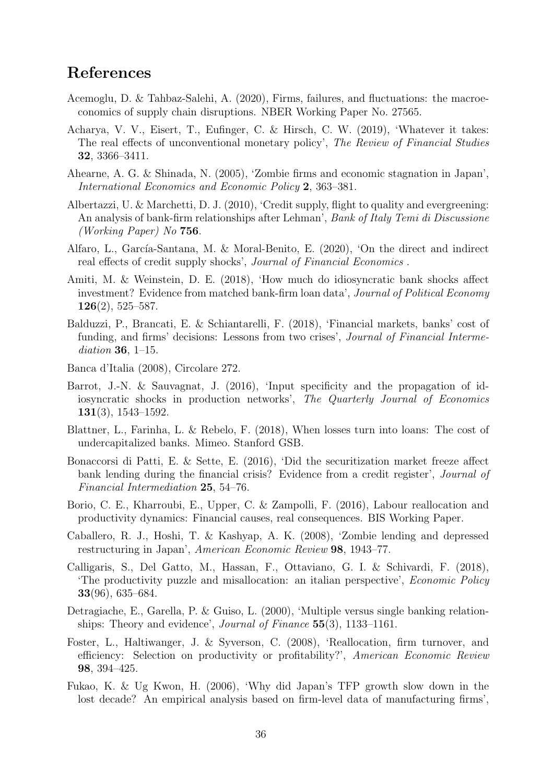# References

- <span id="page-36-3"></span>Acemoglu, D. & Tahbaz-Salehi, A. (2020), Firms, failures, and fluctuations: the macroeconomics of supply chain disruptions. NBER Working Paper No. 27565.
- <span id="page-36-1"></span>Acharya, V. V., Eisert, T., Eufinger, C. & Hirsch, C. W. (2019), 'Whatever it takes: The real effects of unconventional monetary policy', The Review of Financial Studies 32, 3366–3411.
- <span id="page-36-6"></span>Ahearne, A. G. & Shinada, N. (2005), 'Zombie firms and economic stagnation in Japan', International Economics and Economic Policy 2, 363–381.
- <span id="page-36-10"></span>Albertazzi, U. & Marchetti, D. J. (2010), 'Credit supply, flight to quality and evergreening: An analysis of bank-firm relationships after Lehman', Bank of Italy Temi di Discussione (Working Paper) No 756.
- <span id="page-36-15"></span>Alfaro, L., García-Santana, M. & Moral-Benito, E. (2020), 'On the direct and indirect real effects of credit supply shocks', Journal of Financial Economics .
- <span id="page-36-4"></span>Amiti, M. & Weinstein, D. E. (2018), 'How much do idiosyncratic bank shocks affect investment? Evidence from matched bank-firm loan data', Journal of Political Economy 126(2), 525–587.
- <span id="page-36-11"></span>Balduzzi, P., Brancati, E. & Schiantarelli, F. (2018), 'Financial markets, banks' cost of funding, and firms' decisions: Lessons from two crises', *Journal of Financial Interme*diation 36, 1–15.
- <span id="page-36-13"></span>Banca d'Italia (2008), Circolare 272.
- <span id="page-36-2"></span>Barrot, J.-N. & Sauvagnat, J. (2016), 'Input specificity and the propagation of idiosyncratic shocks in production networks', The Quarterly Journal of Economics 131(3), 1543–1592.
- <span id="page-36-5"></span>Blattner, L., Farinha, L. & Rebelo, F. (2018), When losses turn into loans: The cost of undercapitalized banks. Mimeo. Stanford GSB.
- <span id="page-36-14"></span>Bonaccorsi di Patti, E. & Sette, E. (2016), 'Did the securitization market freeze affect bank lending during the financial crisis? Evidence from a credit register', Journal of Financial Intermediation 25, 54–76.
- <span id="page-36-8"></span>Borio, C. E., Kharroubi, E., Upper, C. & Zampolli, F. (2016), Labour reallocation and productivity dynamics: Financial causes, real consequences. BIS Working Paper.
- <span id="page-36-0"></span>Caballero, R. J., Hoshi, T. & Kashyap, A. K. (2008), 'Zombie lending and depressed restructuring in Japan', American Economic Review 98, 1943–77.
- <span id="page-36-9"></span>Calligaris, S., Del Gatto, M., Hassan, F., Ottaviano, G. I. & Schivardi, F. (2018), 'The productivity puzzle and misallocation: an italian perspective', Economic Policy 33(96), 635–684.
- <span id="page-36-12"></span>Detragiache, E., Garella, P. & Guiso, L. (2000), 'Multiple versus single banking relationships: Theory and evidence', Journal of Finance 55(3), 1133–1161.
- <span id="page-36-16"></span>Foster, L., Haltiwanger, J. & Syverson, C. (2008), 'Reallocation, firm turnover, and efficiency: Selection on productivity or profitability?', American Economic Review 98, 394–425.
- <span id="page-36-7"></span>Fukao, K. & Ug Kwon, H. (2006), 'Why did Japan's TFP growth slow down in the lost decade? An empirical analysis based on firm-level data of manufacturing firms',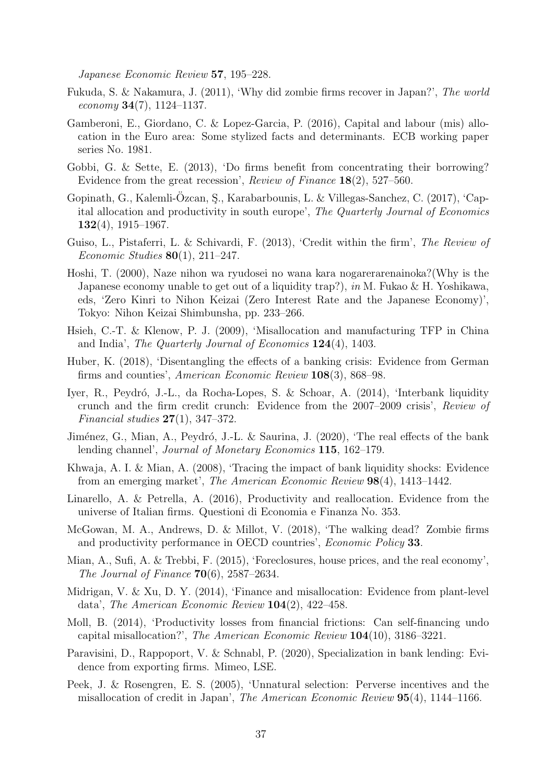Japanese Economic Review 57, 195–228.

- <span id="page-37-7"></span>Fukuda, S. & Nakamura, J. (2011), 'Why did zombie firms recover in Japan?', The world economy  $34(7)$ , 1124–1137.
- <span id="page-37-10"></span>Gamberoni, E., Giordano, C. & Lopez-Garcia, P. (2016), Capital and labour (mis) allocation in the Euro area: Some stylized facts and determinants. ECB working paper series No. 1981.
- <span id="page-37-12"></span>Gobbi, G. & Sette, E. (2013), 'Do firms benefit from concentrating their borrowing? Evidence from the great recession', Review of Finance 18(2), 527–560.
- <span id="page-37-9"></span>Gopinath, G., Kalemli-Özcan, S., Karabarbounis, L. & Villegas-Sanchez, C. (2017), 'Capital allocation and productivity in south europe', The Quarterly Journal of Economics  $132(4)$ , 1915–1967.
- <span id="page-37-15"></span>Guiso, L., Pistaferri, L. & Schivardi, F. (2013), 'Credit within the firm', The Review of Economic Studies  $80(1)$ , 211–247.
- <span id="page-37-5"></span>Hoshi, T. (2000), Naze nihon wa ryudosei no wana kara nogarerarenainoka?(Why is the Japanese economy unable to get out of a liquidity trap?), in M. Fukao & H. Yoshikawa, eds, 'Zero Kinri to Nihon Keizai (Zero Interest Rate and the Japanese Economy)', Tokyo: Nihon Keizai Shimbunsha, pp. 233–266.
- <span id="page-37-2"></span>Hsieh, C.-T. & Klenow, P. J. (2009), 'Misallocation and manufacturing TFP in China and India', The Quarterly Journal of Economics 124(4), 1403.
- <span id="page-37-14"></span>Huber, K. (2018), 'Disentangling the effects of a banking crisis: Evidence from German firms and counties', American Economic Review 108(3), 868–98.
- <span id="page-37-11"></span>Iyer, R., Peydró, J.-L., da Rocha-Lopes, S. & Schoar, A. (2014), 'Interbank liquidity crunch and the firm credit crunch: Evidence from the 2007–2009 crisis', Review of *Financial studies*  $27(1)$ , 347–372.
- <span id="page-37-16"></span>Jiménez, G., Mian, A., Peydró, J.-L. & Saurina, J. (2020), 'The real effects of the bank lending channel', Journal of Monetary Economics 115, 162–179.
- <span id="page-37-1"></span>Khwaja, A. I. & Mian, A. (2008), 'Tracing the impact of bank liquidity shocks: Evidence from an emerging market', The American Economic Review 98(4), 1413–1442.
- <span id="page-37-17"></span>Linarello, A. & Petrella, A. (2016), Productivity and reallocation. Evidence from the universe of Italian firms. Questioni di Economia e Finanza No. 353.
- <span id="page-37-4"></span>McGowan, M. A., Andrews, D. & Millot, V. (2018), 'The walking dead? Zombie firms and productivity performance in OECD countries', Economic Policy 33.
- <span id="page-37-0"></span>Mian, A., Sufi, A. & Trebbi, F. (2015), 'Foreclosures, house prices, and the real economy', The Journal of Finance  $70(6)$ , 2587–2634.
- <span id="page-37-3"></span>Midrigan, V. & Xu, D. Y. (2014), 'Finance and misallocation: Evidence from plant-level data', The American Economic Review 104(2), 422–458.
- <span id="page-37-8"></span>Moll, B. (2014), 'Productivity losses from financial frictions: Can self-financing undo capital misallocation?', The American Economic Review 104(10), 3186–3221.
- <span id="page-37-13"></span>Paravisini, D., Rappoport, V. & Schnabl, P. (2020), Specialization in bank lending: Evidence from exporting firms. Mimeo, LSE.
- <span id="page-37-6"></span>Peek, J. & Rosengren, E. S. (2005), 'Unnatural selection: Perverse incentives and the misallocation of credit in Japan', The American Economic Review 95(4), 1144–1166.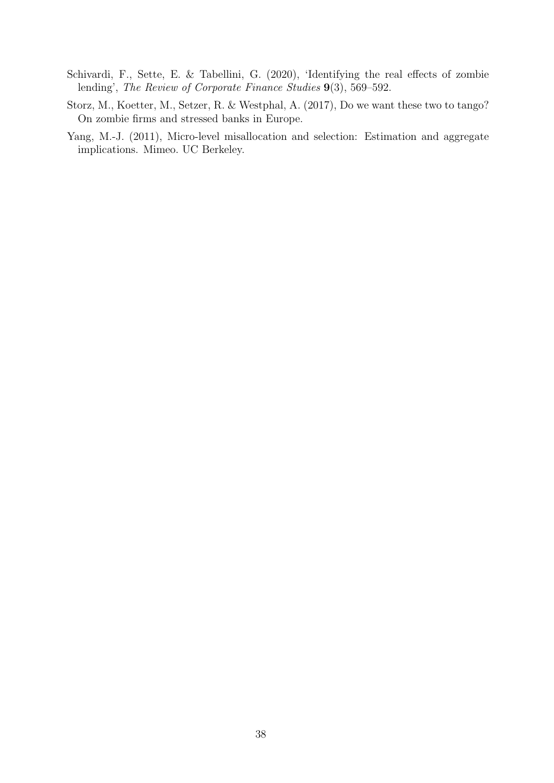- <span id="page-38-0"></span>Schivardi, F., Sette, E. & Tabellini, G. (2020), 'Identifying the real effects of zombie lending', The Review of Corporate Finance Studies 9(3), 569–592.
- <span id="page-38-2"></span>Storz, M., Koetter, M., Setzer, R. & Westphal, A. (2017), Do we want these two to tango? On zombie firms and stressed banks in Europe.
- <span id="page-38-1"></span>Yang, M.-J. (2011), Micro-level misallocation and selection: Estimation and aggregate implications. Mimeo. UC Berkeley.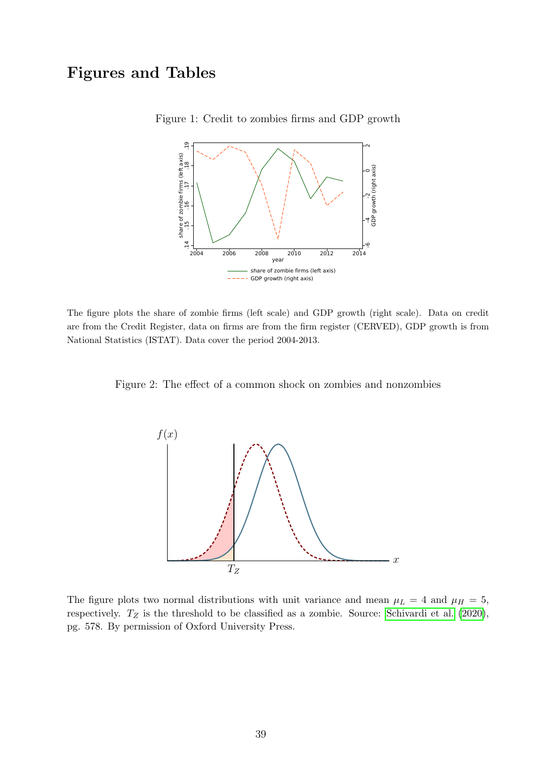# Figures and Tables

<span id="page-39-0"></span>

Figure 1: Credit to zombies firms and GDP growth

The figure plots the share of zombie firms (left scale) and GDP growth (right scale). Data on credit are from the Credit Register, data on firms are from the firm register (CERVED), GDP growth is from National Statistics (ISTAT). Data cover the period 2004-2013.

Figure 2: The effect of a common shock on zombies and nonzombies

<span id="page-39-1"></span>

The figure plots two normal distributions with unit variance and mean  $\mu_L = 4$  and  $\mu_H = 5$ , respectively.  $T_Z$  is the threshold to be classified as a zombie. Source: [Schivardi et al.](#page-38-0) [\(2020\)](#page-38-0), pg. 578. By permission of Oxford University Press.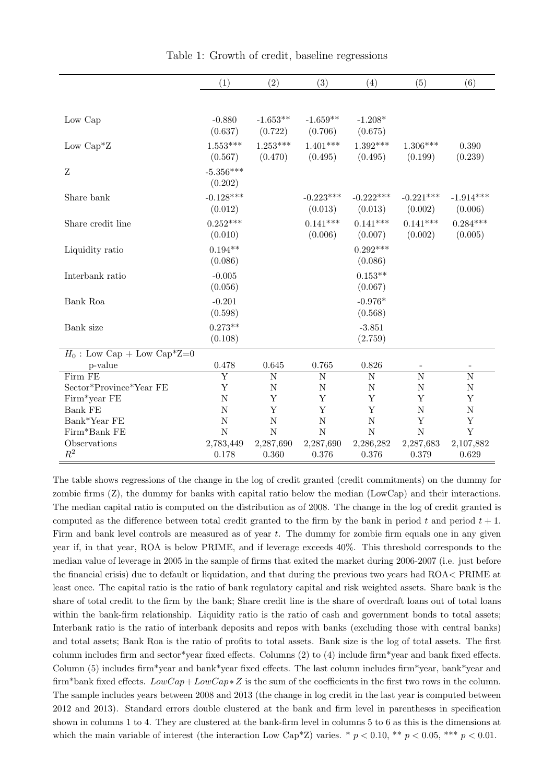|                               | (1)                     | (2)                   | (3)                    | (4)                    | (5)                    | (6)                          |
|-------------------------------|-------------------------|-----------------------|------------------------|------------------------|------------------------|------------------------------|
|                               |                         |                       |                        |                        |                        |                              |
| Low Cap                       | $-0.880$<br>(0.637)     | $-1.653**$<br>(0.722) | $-1.659**$<br>(0.706)  | $-1.208*$<br>(0.675)   |                        |                              |
| Low $Cap^*Z$                  | $1.553***$<br>(0.567)   | $1.253***$<br>(0.470) | $1.401***$<br>(0.495)  | $1.392***$<br>(0.495)  | $1.306***$<br>(0.199)  | 0.390<br>(0.239)             |
| Z                             | $-5.356***$<br>(0.202)  |                       |                        |                        |                        |                              |
| Share bank                    | $-0.128***$<br>(0.012)  |                       | $-0.223***$<br>(0.013) | $-0.222***$<br>(0.013) | $-0.221***$<br>(0.002) | $-1.914***$<br>(0.006)       |
| Share credit line             | $0.252***$<br>(0.010)   |                       | $0.141***$<br>(0.006)  | $0.141***$<br>(0.007)  | $0.141***$<br>(0.002)  | $0.284***$<br>(0.005)        |
| Liquidity ratio               | $0.194**$<br>(0.086)    |                       |                        | $0.292***$<br>(0.086)  |                        |                              |
| Interbank ratio               | $-0.005$<br>(0.056)     |                       |                        | $0.153**$<br>(0.067)   |                        |                              |
| Bank Roa                      | $-0.201$<br>(0.598)     |                       |                        | $-0.976*$<br>(0.568)   |                        |                              |
| Bank size                     | $0.273**$<br>(0.108)    |                       |                        | $-3.851$<br>(2.759)    |                        |                              |
| $H_0$ : Low Cap + Low Cap*Z=0 |                         |                       |                        |                        |                        |                              |
| p-value                       | 0.478                   | 0.645                 | 0.765                  | 0.826                  |                        | $\qquad \qquad \blacksquare$ |
| Firm FE                       | $\overline{\mathrm{Y}}$ | $\overline{\text{N}}$ | $\overline{\rm N}$     | $\overline{\rm N}$     | $\overline{\rm N}$     | $\overline{\text{N}}$        |
| Sector*Province*Year FE       | Y                       | $\mathbf N$           | $\mathbf N$            | $\mathbf N$            | $\mathbf N$            | $\mathbf N$                  |
| Firm*year FE                  | $\overline{N}$          | Y                     | Y                      | Y                      | Y                      | Υ                            |
| <b>Bank FE</b>                | $\mathbf N$             | Y                     | Y                      | Y                      | $\mathbf N$            | $\mathbf N$                  |
| Bank*Year FE                  | $\mathbf N$             | $\mathbf N$           | $\mathbf N$            | $\mathbf N$            | Y                      | Υ                            |
| Firm*Bank FE                  | N                       | N                     | N                      | $\mathbf N$            | N                      | Y                            |
| Observations                  | 2,783,449               | 2,287,690             | 2,287,690              | 2,286,282              | 2,287,683              | 2,107,882                    |
| $\mathbb{R}^2$                | 0.178                   | 0.360                 | 0.376                  | 0.376                  | 0.379                  | 0.629                        |

<span id="page-40-0"></span>Table 1: Growth of credit, baseline regressions

The table shows regressions of the change in the log of credit granted (credit commitments) on the dummy for zombie firms (Z), the dummy for banks with capital ratio below the median (LowCap) and their interactions. The median capital ratio is computed on the distribution as of 2008. The change in the log of credit granted is computed as the difference between total credit granted to the firm by the bank in period t and period  $t + 1$ . Firm and bank level controls are measured as of year  $t$ . The dummy for zombie firm equals one in any given year if, in that year, ROA is below PRIME, and if leverage exceeds 40%. This threshold corresponds to the median value of leverage in 2005 in the sample of firms that exited the market during 2006-2007 (i.e. just before the financial crisis) due to default or liquidation, and that during the previous two years had ROA< PRIME at least once. The capital ratio is the ratio of bank regulatory capital and risk weighted assets. Share bank is the share of total credit to the firm by the bank; Share credit line is the share of overdraft loans out of total loans within the bank-firm relationship. Liquidity ratio is the ratio of cash and government bonds to total assets; Interbank ratio is the ratio of interbank deposits and repos with banks (excluding those with central banks) and total assets; Bank Roa is the ratio of profits to total assets. Bank size is the log of total assets. The first column includes firm and sector\*year fixed effects. Columns (2) to (4) include firm\*year and bank fixed effects. Column (5) includes firm\*year and bank\*year fixed effects. The last column includes firm\*year, bank\*year and firm\*bank fixed effects.  $LowCap+LowCap*Z$  is the sum of the coefficients in the first two rows in the column. The sample includes years between 2008 and 2013 (the change in log credit in the last year is computed between 2012 and 2013). Standard errors double clustered at the bank and firm level in parentheses in specification shown in columns 1 to 4. They are clustered at the bank-firm level in columns 5 to 6 as this is the dimensions at which the main variable of interest (the interaction Low Cap<sup>\*</sup>Z) varies. \*  $p < 0.10$ , \*\*  $p < 0.05$ , \*\*\*  $p < 0.01$ .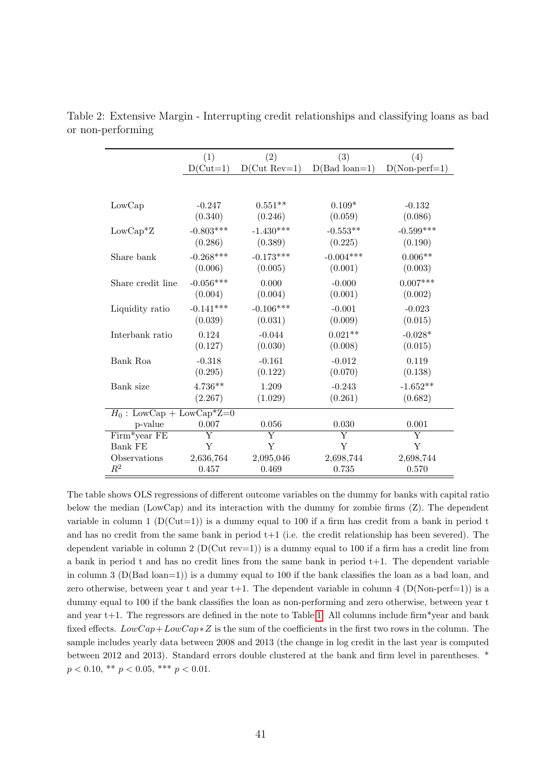<span id="page-41-0"></span>

|                             | (1)         | (2)            | (3)             | (4)             |
|-----------------------------|-------------|----------------|-----------------|-----------------|
|                             | $D(Cut=1)$  | $D(Cut Rev=1)$ | $D(Bad loan=1)$ | $D(Non-perf=1)$ |
|                             |             |                |                 |                 |
|                             |             |                |                 |                 |
| LowCap                      | $-0.247$    | $0.551**$      | $0.109*$        | $-0.132$        |
|                             | (0.340)     | (0.246)        | (0.059)         | (0.086)         |
| $LowCap^*Z$                 | $-0.803***$ | $-1.430***$    | $-0.553**$      | $-0.599***$     |
|                             | (0.286)     | (0.389)        | (0.225)         | (0.190)         |
| Share bank                  | $-0.268***$ | $-0.173***$    | $-0.004***$     | $0.006**$       |
|                             | (0.006)     | (0.005)        | (0.001)         | (0.003)         |
| Share credit line           | $-0.056***$ | 0.000          | $-0.000$        | $0.007***$      |
|                             | (0.004)     | (0.004)        | (0.001)         | (0.002)         |
| Liquidity ratio             | $-0.141***$ | $-0.106***$    | $-0.001$        | $-0.023$        |
|                             | (0.039)     | (0.031)        | (0.009)         | (0.015)         |
| Interbank ratio             | 0.124       | $-0.044$       | $0.021**$       | $-0.028*$       |
|                             | (0.127)     | (0.030)        | (0.008)         | (0.015)         |
| Bank Roa                    | $-0.318$    | $-0.161$       | $-0.012$        | 0.119           |
|                             | (0.295)     | (0.122)        | (0.070)         | (0.138)         |
| Bank size                   | $4.736**$   | 1.209          | $-0.243$        | $-1.652**$      |
|                             | (2.267)     | (1.029)        | (0.261)         | (0.682)         |
| $H_0$ : LowCap + LowCap*Z=0 |             |                |                 |                 |
| p-value                     | 0.007       | 0.056          | 0.030           | 0.001           |
| Firm*year FE                | Υ           | Y              | Y               | Y               |
| <b>Bank FE</b>              | Y           | Y              | Y               | Υ               |
| Observations                | 2,636,764   | 2,095,046      | 2,698,744       | 2,698,744       |
| $\mathbb{R}^2$              | 0.457       | 0.469          | 0.735           | 0.570           |

Table 2: Extensive Margin - Interrupting credit relationships and classifying loans as bad or non-performing

The table shows OLS regressions of different outcome variables on the dummy for banks with capital ratio below the median (LowCap) and its interaction with the dummy for zombie firms (Z). The dependent variable in column 1 ( $D(Cut=1)$ ) is a dummy equal to 100 if a firm has credit from a bank in period t and has no credit from the same bank in period  $t+1$  (i.e. the credit relationship has been severed). The dependent variable in column 2 ( $D(Cut rev=1)$ ) is a dummy equal to 100 if a firm has a credit line from a bank in period t and has no credit lines from the same bank in period t+1. The dependent variable in column 3 (D(Bad loan=1)) is a dummy equal to 100 if the bank classifies the loan as a bad loan, and zero otherwise, between year t and year  $t+1$ . The dependent variable in column 4 (D(Non-perf=1)) is a dummy equal to 100 if the bank classifies the loan as non-performing and zero otherwise, between year t and year  $t+1$ . The regressors are defined in the note to Table [1.](#page-40-0) All columns include firm\*year and bank fixed effects.  $LowCap+LowCap*Z$  is the sum of the coefficients in the first two rows in the column. The sample includes yearly data between 2008 and 2013 (the change in log credit in the last year is computed between 2012 and 2013). Standard errors double clustered at the bank and firm level in parentheses. \*  $p < 0.10,$  \*\*  $p < 0.05,$  \*\*\*  $p < 0.01$ .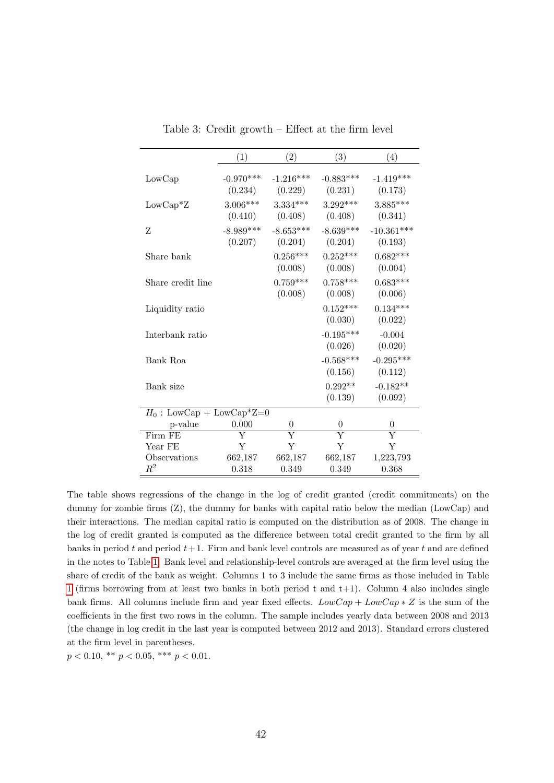|                             | (1)                    | $\left( 2\right)$      | (3)                    | (4)                     |
|-----------------------------|------------------------|------------------------|------------------------|-------------------------|
| LowCap                      | $-0.970***$<br>(0.234) | $-1.216***$<br>(0.229) | $-0.883***$<br>(0.231) | $-1.419***$<br>(0.173)  |
| $LowCap^*Z$                 | $3.006***$<br>(0.410)  | $3.334***$<br>(0.408)  | $3.292***$<br>(0.408)  | $3.885***$<br>(0.341)   |
| Z                           | $-8.989***$<br>(0.207) | $-8.653***$<br>(0.204) | $-8.639***$<br>(0.204) | $-10.361***$<br>(0.193) |
| Share bank                  |                        | $0.256***$<br>(0.008)  | $0.252***$<br>(0.008)  | $0.682***$<br>(0.004)   |
| Share credit line           |                        | $0.759***$<br>(0.008)  | $0.758***$<br>(0.008)  | $0.683***$<br>(0.006)   |
| Liquidity ratio             |                        |                        | $0.152***$<br>(0.030)  | $0.134***$<br>(0.022)   |
| Interbank ratio             |                        |                        | $-0.195***$<br>(0.026) | $-0.004$<br>(0.020)     |
| Bank Roa                    |                        |                        | $-0.568***$<br>(0.156) | $-0.295***$<br>(0.112)  |
| Bank size                   |                        |                        | $0.292**$<br>(0.139)   | $-0.182**$<br>(0.092)   |
| $H_0$ : LowCap + LowCap*Z=0 |                        |                        |                        |                         |
| p-value                     | 0.000                  | $\overline{0}$         | $\theta$               | $\theta$                |
| Firm FE                     | Y                      | Y                      | Y                      | Y                       |
| Year FE                     | Y                      | Y                      | $\mathbf Y$            | Y                       |
| Observations                | 662,187                | 662,187                | 662,187                | 1,223,793               |
| $\,R^2$                     | 0.318                  | 0.349                  | 0.349                  | 0.368                   |

<span id="page-42-0"></span>Table 3: Credit growth – Effect at the firm level

The table shows regressions of the change in the log of credit granted (credit commitments) on the dummy for zombie firms (Z), the dummy for banks with capital ratio below the median (LowCap) and their interactions. The median capital ratio is computed on the distribution as of 2008. The change in the log of credit granted is computed as the difference between total credit granted to the firm by all banks in period t and period  $t+1$ . Firm and bank level controls are measured as of year t and are defined in the notes to Table [1.](#page-40-0) Bank level and relationship-level controls are averaged at the firm level using the share of credit of the bank as weight. Columns 1 to 3 include the same firms as those included in Table [1](#page-40-0) (firms borrowing from at least two banks in both period t and  $t+1$ ). Column 4 also includes single bank firms. All columns include firm and year fixed effects.  $LowCap + LowCap * Z$  is the sum of the coefficients in the first two rows in the column. The sample includes yearly data between 2008 and 2013 (the change in log credit in the last year is computed between 2012 and 2013). Standard errors clustered at the firm level in parentheses.

 $p < 0.10,$  \*\*  $p < 0.05,$  \*\*\*  $p < 0.01$ .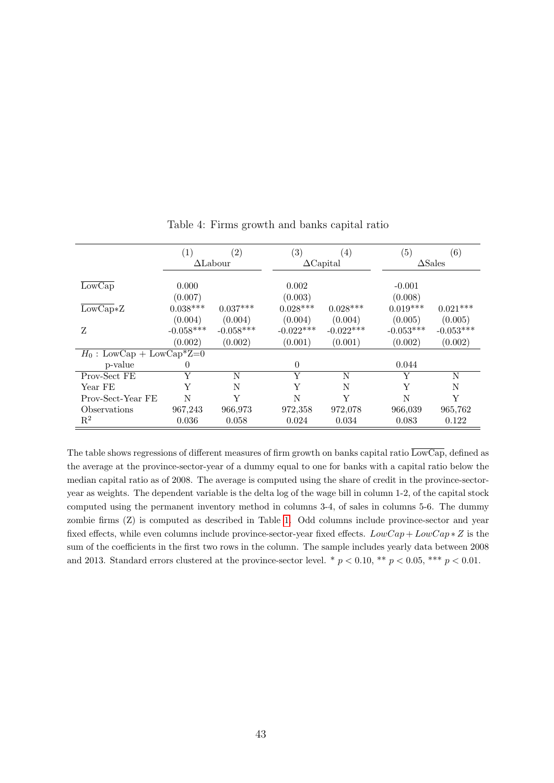|                              | (1)         | $\left( 2\right)$ | (3)         | (4)              | (5)         | (6)               |
|------------------------------|-------------|-------------------|-------------|------------------|-------------|-------------------|
|                              |             | $\Delta$ Labour   |             | $\Delta$ Capital |             | $\triangle$ Sales |
|                              |             |                   |             |                  |             |                   |
| $\overline{\text{LowCap}}$   | 0.000       |                   | 0.002       |                  | $-0.001$    |                   |
|                              | (0.007)     |                   | (0.003)     |                  | (0.008)     |                   |
| $\overline{\text{LowCap}}*Z$ | $0.038***$  | $0.037***$        | $0.028***$  | $0.028***$       | $0.019***$  | $0.021***$        |
|                              | (0.004)     | (0.004)           | (0.004)     | (0.004)          | (0.005)     | (0.005)           |
| Z                            | $-0.058***$ | $-0.058***$       | $-0.022***$ | $-0.022***$      | $-0.053***$ | $-0.053***$       |
|                              | (0.002)     | (0.002)           | (0.001)     | (0.001)          | (0.002)     | (0.002)           |
| $H_0$ : LowCap + LowCap*Z=0  |             |                   |             |                  |             |                   |
| p-value                      | $\theta$    |                   | $\theta$    |                  | 0.044       |                   |
| Prov-Sect FE                 | Y           | N                 | Y           | N                | Y           | N                 |
| Year FE                      | Y           | N                 | Y           | N                | Y           | N                 |
| Prov-Sect-Year FE            | N           | Y                 | N           | Y                | N           | Y                 |
| Observations                 | 967,243     | 966,973           | 972,358     | 972,078          | 966,039     | 965,762           |
| $\mathbf{R}^2$               | 0.036       | 0.058             | 0.024       | 0.034            | 0.083       | 0.122             |

<span id="page-43-0"></span>Table 4: Firms growth and banks capital ratio

The table shows regressions of different measures of firm growth on banks capital ratio  $\overline{\text{LowCap}}$ , defined as the average at the province-sector-year of a dummy equal to one for banks with a capital ratio below the median capital ratio as of 2008. The average is computed using the share of credit in the province-sectoryear as weights. The dependent variable is the delta log of the wage bill in column 1-2, of the capital stock computed using the permanent inventory method in columns 3-4, of sales in columns 5-6. The dummy zombie firms (Z) is computed as described in Table [1.](#page-40-0) Odd columns include province-sector and year fixed effects, while even columns include province-sector-year fixed effects.  $LowCap + LowCap * Z$  is the sum of the coefficients in the first two rows in the column. The sample includes yearly data between 2008 and 2013. Standard errors clustered at the province-sector level. \*  $p < 0.10$ , \*\*  $p < 0.05$ , \*\*\*  $p < 0.01$ .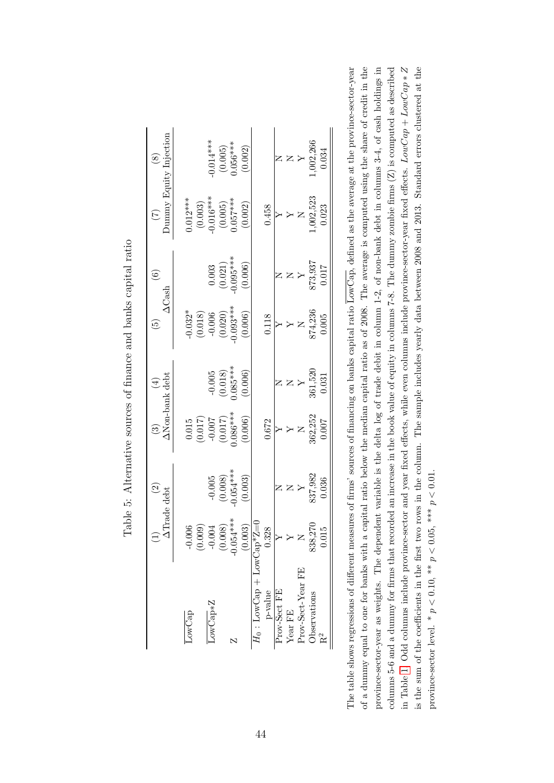|                                          |                         | $\widetilde{\Omega}$             | $\odot$                                                                  | $(\pm)$                                                                    | $\widetilde{5}$                              | $\widehat{\mathbf{e}}$                                                    |                                                          |                                          |
|------------------------------------------|-------------------------|----------------------------------|--------------------------------------------------------------------------|----------------------------------------------------------------------------|----------------------------------------------|---------------------------------------------------------------------------|----------------------------------------------------------|------------------------------------------|
|                                          | <b>ATrade debt</b>      |                                  |                                                                          | <b>ANon-bank</b> debt                                                      |                                              | $\Delta$ Cash                                                             |                                                          | $\left( 7\right)$ Dumny Equity Injection |
| LowCap                                   | $-0.006$                |                                  |                                                                          |                                                                            | $-0.032*$                                    |                                                                           |                                                          |                                          |
|                                          | (0.009)                 |                                  | $(7.10, 0.017)$<br>$(7.10, 0.007)$<br>$(7.10, 0.007)$<br>$(7.10, 0.007)$ |                                                                            |                                              |                                                                           | $0.012***$<br>(0.003)<br>0.016***<br>(0.005)<br>0.057*** |                                          |
| $LowCap*Z$                               | $-0.004$                |                                  |                                                                          |                                                                            |                                              |                                                                           |                                                          |                                          |
|                                          |                         |                                  |                                                                          |                                                                            |                                              |                                                                           |                                                          |                                          |
| N                                        | $(0.008)$<br>-0.054 *** | $-0.005$<br>(0.008)<br>0.054**** |                                                                          |                                                                            | $(0.018)$<br>-0.006<br>$(0.020)$<br>0.093*** |                                                                           |                                                          | $0.014***$<br>(0.005)<br>0.056***        |
|                                          | (0.003)                 | (0.003)                          | (0.006)                                                                  | $\begin{array}{c} -0.005 \\ (0.018) \\ 0.085^{***} \\ (0.006) \end{array}$ | (0.006)                                      | $\begin{array}{c} 0.003 \\ (0.021) \\ 0.095^{***} \\ (0.006) \end{array}$ | (0.002)                                                  | (0.002)                                  |
| $H_0: \text{LowCap} + \text{LowCap*Z=0}$ |                         |                                  |                                                                          |                                                                            |                                              |                                                                           |                                                          |                                          |
| p-value                                  | 0.328                   |                                  | 0.672                                                                    |                                                                            | 0.118                                        |                                                                           | 0.458                                                    |                                          |
| Prov-Sect FE                             |                         |                                  |                                                                          |                                                                            |                                              |                                                                           |                                                          |                                          |
| Year FE                                  |                         |                                  |                                                                          |                                                                            |                                              |                                                                           |                                                          |                                          |
| Prov-Sect-Year FE                        | $\simeq$                | $\mathsf{X}$                     | $\mathsf{z}$                                                             |                                                                            | $\mathsf{z}$                                 |                                                                           |                                                          |                                          |
| Observations                             | 838,270                 | 337,982<br>0.036                 | 362,252                                                                  | $361,520$<br>$0.031$                                                       | 874,236                                      | 873,937                                                                   | N<br>$(1,002,523)$                                       | N<br>Y<br>Y<br>X<br>02,266               |
| $R^2$                                    | 0.015                   |                                  | 1.007                                                                    |                                                                            | 0.005                                        | 0.017                                                                     | 0.023                                                    | 0.034                                    |

Table 5: Alternative sources of finance and banks capital ratio Table 5: Alternative sources of finance and banks capital ratio

<span id="page-44-0"></span>of a dummy equal to one for banks with a capital ratio below the median capital ratio as of 2008. The average is computed using the share of credit in the province-sector-year as weights. The dependent variable is the delta log of trade debit in column 1-2, of non-bank debt in columns 3-4, of cash holdings in in Table 1. Odd columns include province-sector and year fixed effects, while even columns include province-sector-year fixed effects.  $LowCap + LowCap * Z$ columns 5-6 and a dummy for firms that recorded an increase in the book value of equity in columns 7-8. The dummy zombie firms  $(Z)$  is computed as described is the sum of the coefficients in the first two rows in the column. The sample includes yearly data between 2008 and 2013. Standard errors clustered at the The table shows regressions of different measures of firms' sources of financing on banks capital ratio  $\overline{\text{LowCap}}$ , defined as the average at the province-sector-year The table shows regressions of different measures of firms' sources of financing on banks capital ratio LowCap, defined as the average at the province-sector-year of a dummy equal to one for banks with a capital ratio below the median capital ratio as of 2008. The average is computed using the share of credit in the province-sector-year as weights. The dependent variable is the delta log of trade debit in column 1-2, of non-bank debt in columns 3-4, of cash holdings in columns 5-6 and a dummy for firms that recorded an increase in the book value of equity in columns 7-8. The dummy zombie firms (Z) is computed as described in Table [1.](#page-40-0) Odd columns include province-sector and year fixed effects, while even columns include province-sector-year fixed effects. LowCap + LowCap ∗ Z is the sum of the coefficients in the first two rows in the column. The sample includes yearly data between 2008 and 2013. Standard errors clustered at the province-sector level. \*  $p < 0.10$ , \*\*  $p < 0.05$ , \*\*\*  $p < 0.01$ . province-sector level. \*  $p < 0.10$ , \*\*  $p < 0.05$ , \*\*\*  $p < 0.01$ .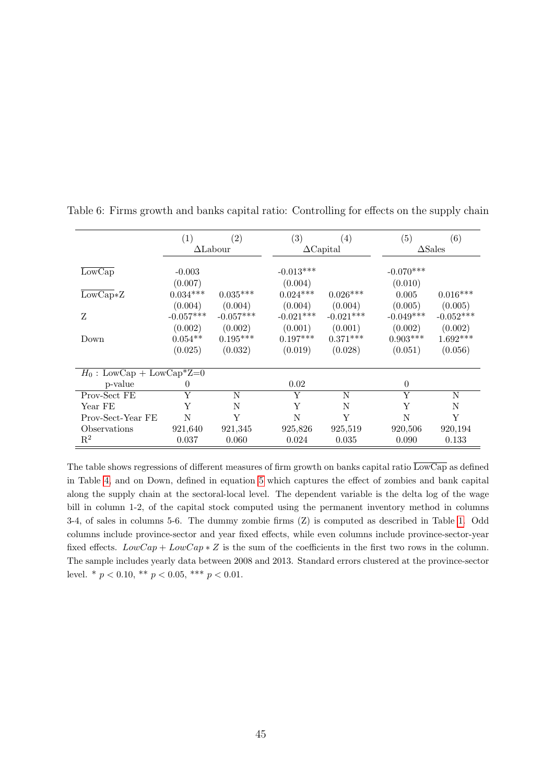|                              | (1)                    | $\left( 2\right)$      | (3)                    | $\left( 4\right)$      | (5)                    | $\left( 6\right)$      |
|------------------------------|------------------------|------------------------|------------------------|------------------------|------------------------|------------------------|
|                              |                        | $\Delta$ Labour        |                        | $\Delta$ Capital       |                        | $\triangle$ Sales      |
| $\overline{\text{LowCap}}$   | $-0.003$<br>(0.007)    |                        | $-0.013***$<br>(0.004) |                        | $-0.070***$<br>(0.010) |                        |
| $\overline{\text{LowCap}}*Z$ | $0.034***$             | $0.035***$             | $0.024***$             | $0.026***$             | 0.005                  | $0.016***$             |
| Z                            | (0.004)<br>$-0.057***$ | (0.004)<br>$-0.057***$ | (0.004)<br>$-0.021***$ | (0.004)<br>$-0.021***$ | (0.005)<br>$-0.049***$ | (0.005)<br>$-0.052***$ |
|                              | (0.002)                | (0.002)                | (0.001)                | (0.001)                | (0.002)                | (0.002)                |
| Down                         | $0.054**$<br>(0.025)   | $0.195***$<br>(0.032)  | $0.197***$<br>(0.019)  | $0.371***$<br>(0.028)  | $0.903***$<br>(0.051)  | $1.692***$<br>(0.056)  |
| $H_0$ : LowCap + LowCap*Z=0  |                        |                        |                        |                        |                        |                        |
| p-value                      | $\Omega$               |                        | 0.02                   |                        | $\theta$               |                        |
| Prov-Sect FE                 | Y                      | N                      | Y                      | N                      | Y                      | N                      |
| Year FE                      | Y                      | N                      | Y                      | N                      | Y                      | N                      |
| Prov-Sect-Year FE            | N                      | Y                      | N                      | Y                      | N                      | Y                      |
| Observations                 | 921,640                | 921,345                | 925,826                | 925,519                | 920,506                | 920,194                |
| $\mathrm{R}^2$               | 0.037                  | 0.060                  | 0.024                  | 0.035                  | 0.090                  | 0.133                  |

<span id="page-45-0"></span>Table 6: Firms growth and banks capital ratio: Controlling for effects on the supply chain

The table shows regressions of different measures of firm growth on banks capital ratio  $\overline{\text{LowCap}}$  as defined in Table [4,](#page-43-0) and on Down, defined in equation [5](#page-25-0) which captures the effect of zombies and bank capital along the supply chain at the sectoral-local level. The dependent variable is the delta log of the wage bill in column 1-2, of the capital stock computed using the permanent inventory method in columns 3-4, of sales in columns 5-6. The dummy zombie firms (Z) is computed as described in Table [1.](#page-40-0) Odd columns include province-sector and year fixed effects, while even columns include province-sector-year fixed effects.  $LowCap + LowCap * Z$  is the sum of the coefficients in the first two rows in the column. The sample includes yearly data between 2008 and 2013. Standard errors clustered at the province-sector level. \*  $p < 0.10$ , \*\*  $p < 0.05$ , \*\*\*  $p < 0.01$ .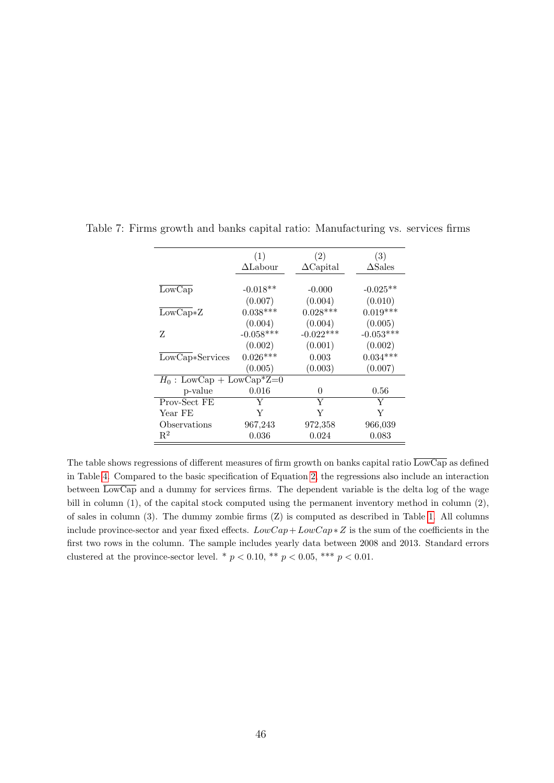<span id="page-46-0"></span>

|                             | (1)             | (2)              | (3)               |
|-----------------------------|-----------------|------------------|-------------------|
|                             | $\Delta$ Labour | $\Delta$ Capital | $\triangle$ Sales |
|                             |                 |                  |                   |
| LowCap                      | $-0.018**$      | $-0.000$         | $-0.025**$        |
|                             | (0.007)         | (0.004)          | (0.010)           |
| $LowCap*Z$                  | $0.038***$      | $0.028***$       | $0.019***$        |
|                             | (0.004)         | (0.004)          | (0.005)           |
| Z                           | $-0.058***$     | $-0.022***$      | $-0.053***$       |
|                             | (0.002)         | (0.001)          | (0.002)           |
| LowCap*Services             | $0.026***$      | 0.003            | $0.034***$        |
|                             | (0.005)         | (0.003)          | (0.007)           |
| $H_0$ : LowCap + LowCap*Z=0 |                 |                  |                   |
| p-value                     | 0.016           | 0                | $0.56\,$          |
| Prov-Sect FE                | Y               | Y                | Y                 |
| Year FE                     | Y               | Y                | Y                 |
| Observations                | 967,243         | 972,358          | 966,039           |
| $R^2$                       | 0.036           | 0.024            | 0.083             |

Table 7: Firms growth and banks capital ratio: Manufacturing vs. services firms

The table shows regressions of different measures of firm growth on banks capital ratio  $\overline{\text{LowCap}}$  as defined in Table [4.](#page-43-0) Compared to the basic specification of Equation [2,](#page-20-0) the regressions also include an interaction between  $\overline{\text{LowCap}}$  and a dummy for services firms. The dependent variable is the delta log of the wage bill in column (1), of the capital stock computed using the permanent inventory method in column (2), of sales in column (3). The dummy zombie firms (Z) is computed as described in Table [1.](#page-40-0) All columns include province-sector and year fixed effects.  $LowCap + LowCap * Z$  is the sum of the coefficients in the first two rows in the column. The sample includes yearly data between 2008 and 2013. Standard errors clustered at the province-sector level. \*  $p < 0.10$ , \*\*  $p < 0.05$ , \*\*\*  $p < 0.01$ .